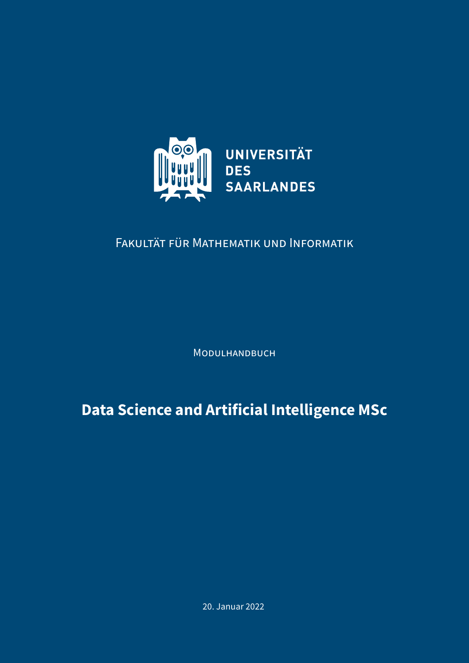

# FAKULTÄT FÜR MATHEMATIK UND INFORMATIK

MODULHANDBUCH

**Data Science and Artificial Intelligence MSc**

20. Januar 2022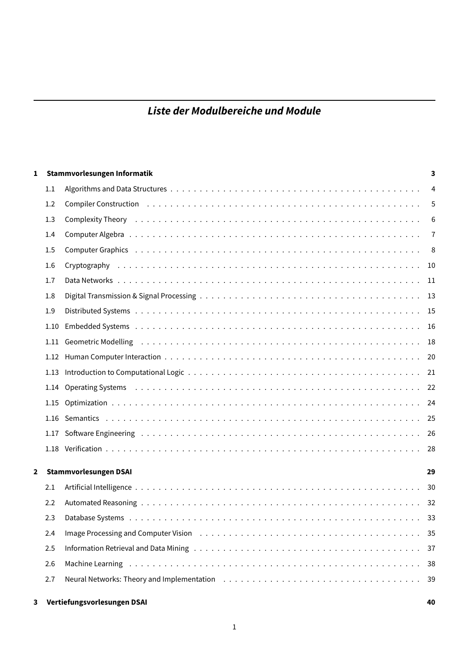# **Liste der Modulbereiche und Module**

| 1              |      | Stammvorlesungen Informatik                                                                                                                                                                                                    | 3              |
|----------------|------|--------------------------------------------------------------------------------------------------------------------------------------------------------------------------------------------------------------------------------|----------------|
|                | 1.1  |                                                                                                                                                                                                                                | $\overline{4}$ |
|                | 1.2  |                                                                                                                                                                                                                                | 5              |
|                | 1.3  | Complexity Theory (all contacts and contacts are contact as a contact of the contact of the contact of the contact of the contact of the contact of the contact of the contact of the contact of the contact of the contact of | 6              |
|                | 1.4  |                                                                                                                                                                                                                                | $\overline{7}$ |
|                | 1.5  | Computer Graphics (also contained a series and contained a series and computer Graphics (also contained a series of the series of the series of the series of the series of the series of the series of the series of the seri | $^{\circ}$ 8   |
|                | 1.6  |                                                                                                                                                                                                                                |                |
|                | 1.7  |                                                                                                                                                                                                                                |                |
|                | 1.8  |                                                                                                                                                                                                                                |                |
|                | 1.9  |                                                                                                                                                                                                                                |                |
|                | 1.10 |                                                                                                                                                                                                                                |                |
|                | 1.11 | Geometric Modelling (and all and all and all and all and all and all and all and all and all and all and all a                                                                                                                 |                |
|                | 1.12 |                                                                                                                                                                                                                                |                |
|                | 1.13 |                                                                                                                                                                                                                                |                |
|                | 1.14 | Operating Systems (also not also not also not also not also not also not also not also not also not also not a                                                                                                                 |                |
|                | 1.15 |                                                                                                                                                                                                                                |                |
|                |      |                                                                                                                                                                                                                                |                |
|                |      |                                                                                                                                                                                                                                |                |
|                |      |                                                                                                                                                                                                                                |                |
| $\overline{2}$ |      | Stammvorlesungen DSAI                                                                                                                                                                                                          | 29             |
|                | 2.1  |                                                                                                                                                                                                                                | 30             |
|                | 2.2  |                                                                                                                                                                                                                                |                |
|                | 2.3  |                                                                                                                                                                                                                                |                |
|                | 2.4  | Image Processing and Computer Vision (a) contained a series and service contained a state of the state of the                                                                                                                  |                |
|                | 2.5  |                                                                                                                                                                                                                                | -37            |
|                | 2.6  | Machine Learning (and a series of the series of the series of the series and series are series and the Machine                                                                                                                 | 38             |
|                | 2.7  |                                                                                                                                                                                                                                | 39             |
| 3              |      | Vertiefungsvorlesungen DSAI                                                                                                                                                                                                    | 40             |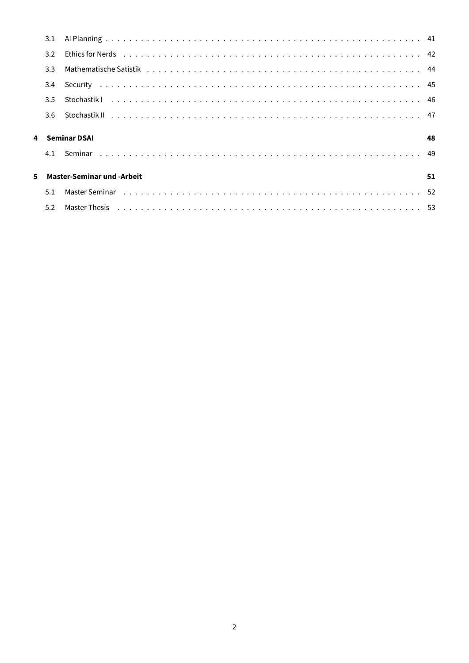|    | 3.1              |                                   |    |
|----|------------------|-----------------------------------|----|
|    | $3.2^{\circ}$    |                                   |    |
|    | 3.3 <sub>2</sub> |                                   |    |
|    | 3.4              |                                   |    |
|    | 3.5              |                                   |    |
|    | 3.6              |                                   |    |
|    |                  |                                   |    |
|    |                  |                                   |    |
| 4  |                  | <b>Seminar DSAI</b>               | 48 |
|    | 4.1              |                                   |    |
|    |                  |                                   |    |
| 5. |                  | <b>Master-Seminar und -Arbeit</b> | 51 |
|    | 5.1              |                                   |    |
|    | 5.2              |                                   |    |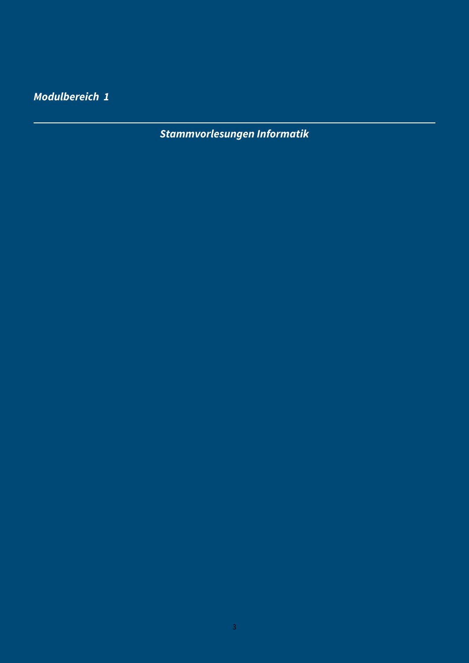<span id="page-3-0"></span>**Modulbereich 1**

**Stammvorlesungen Informatik**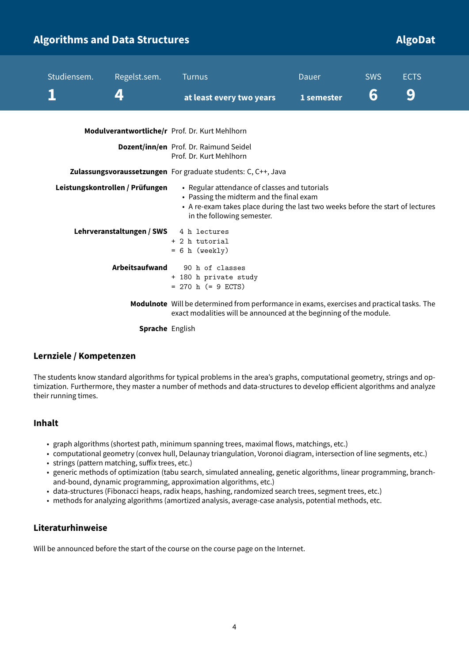# <span id="page-4-0"></span>**Algorithms and Data Structures Algorithms and Data Structures Algorithms and Data Algorithms and Data Structures**

| Studiensem. | Regelst.sem.                                                                                                                                                                                                                                 | <b>Turnus</b>                                                                                                                                                    | <b>Dauer</b> | <b>SWS</b> | <b>ECTS</b> |
|-------------|----------------------------------------------------------------------------------------------------------------------------------------------------------------------------------------------------------------------------------------------|------------------------------------------------------------------------------------------------------------------------------------------------------------------|--------------|------------|-------------|
|             | $\boldsymbol{\varDelta}$                                                                                                                                                                                                                     | at least every two years                                                                                                                                         | 1 semester   | 6          | 9           |
|             |                                                                                                                                                                                                                                              | Modulverantwortliche/r Prof. Dr. Kurt Mehlhorn                                                                                                                   |              |            |             |
|             |                                                                                                                                                                                                                                              | Dozent/inn/en Prof. Dr. Raimund Seidel<br>Prof. Dr. Kurt Mehlhorn                                                                                                |              |            |             |
|             |                                                                                                                                                                                                                                              | Zulassungsvoraussetzungen For graduate students: C, C++, Java                                                                                                    |              |            |             |
|             | Leistungskontrollen / Prüfungen<br>• Regular attendance of classes and tutorials<br>• Passing the midterm and the final exam<br>• A re-exam takes place during the last two weeks before the start of lectures<br>in the following semester. |                                                                                                                                                                  |              |            |             |
|             | Lehrveranstaltungen / SWS                                                                                                                                                                                                                    | 4 h lectures<br>+ 2 h tutorial<br>$= 6 h$ (weekly)                                                                                                               |              |            |             |
|             | Arbeitsaufwand                                                                                                                                                                                                                               | 90 h of classes<br>+ 180 h private study<br>$= 270$ h (= 9 ECTS)                                                                                                 |              |            |             |
|             |                                                                                                                                                                                                                                              | Modulnote Will be determined from performance in exams, exercises and practical tasks. The<br>exact modalities will be announced at the beginning of the module. |              |            |             |
|             | <b>Sprache</b> English                                                                                                                                                                                                                       |                                                                                                                                                                  |              |            |             |

### **Lernziele / Kompetenzen**

The students know standard algorithms for typical problems in the area's graphs, computational geometry, strings and optimization. Furthermore, they master a number of methods and data-structures to develop efficient algorithms and analyze their running times.

### **Inhalt**

- graph algorithms (shortest path, minimum spanning trees, maximal flows, matchings, etc.)
- computational geometry (convex hull, Delaunay triangulation, Voronoi diagram, intersection of line segments, etc.)
- strings (pattern matching, suffix trees, etc.)
- generic methods of optimization (tabu search, simulated annealing, genetic algorithms, linear programming, branchand-bound, dynamic programming, approximation algorithms, etc.)
- data-structures (Fibonacci heaps, radix heaps, hashing, randomized search trees, segment trees, etc.)
- methods for analyzing algorithms (amortized analysis, average-case analysis, potential methods, etc.

### **Literaturhinweise**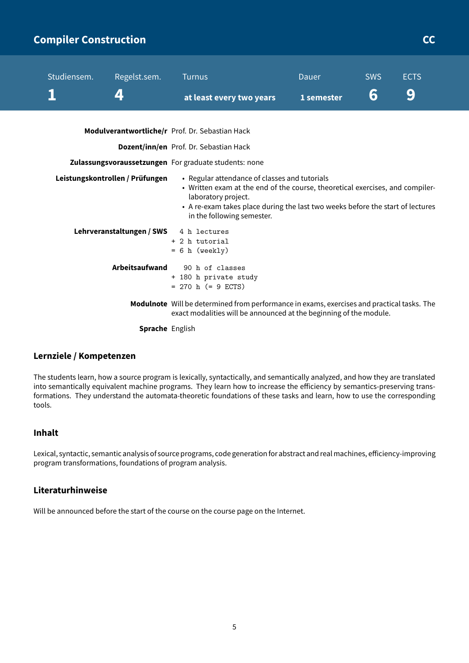# <span id="page-5-0"></span>**Compiler Construction CCC COMPILER CONSTRUCTION**

| Studiensem. | Regelst.sem.                           | <b>Turnus</b>                                                                                                                                                                                                                                                         | Dauer      | <b>SWS</b> | <b>ECTS</b> |  |
|-------------|----------------------------------------|-----------------------------------------------------------------------------------------------------------------------------------------------------------------------------------------------------------------------------------------------------------------------|------------|------------|-------------|--|
|             | 4                                      | at least every two years                                                                                                                                                                                                                                              | 1 semester | 6          | 9           |  |
|             |                                        | Modulverantwortliche/r Prof. Dr. Sebastian Hack                                                                                                                                                                                                                       |            |            |             |  |
|             |                                        | Dozent/inn/en Prof. Dr. Sebastian Hack                                                                                                                                                                                                                                |            |            |             |  |
|             |                                        | Zulassungsvoraussetzungen For graduate students: none                                                                                                                                                                                                                 |            |            |             |  |
|             | Leistungskontrollen / Prüfungen        | • Regular attendance of classes and tutorials<br>• Written exam at the end of the course, theoretical exercises, and compiler-<br>laboratory project.<br>• A re-exam takes place during the last two weeks before the start of lectures<br>in the following semester. |            |            |             |  |
|             | Lehrveranstaltungen / SWS 4 h lectures | + 2 h tutorial<br>$= 6 h$ (weekly)                                                                                                                                                                                                                                    |            |            |             |  |
|             | Arbeitsaufwand                         | 90 h of classes<br>+ 180 h private study<br>$= 270$ h (= 9 ECTS)                                                                                                                                                                                                      |            |            |             |  |
|             |                                        | Modulnote Will be determined from performance in exams, exercises and practical tasks. The<br>exact modalities will be announced at the beginning of the module.                                                                                                      |            |            |             |  |
|             | <b>Sprache</b> English                 |                                                                                                                                                                                                                                                                       |            |            |             |  |

### **Lernziele / Kompetenzen**

The students learn, how a source program is lexically, syntactically, and semantically analyzed, and how they are translated into semantically equivalent machine programs. They learn how to increase the efficiency by semantics-preserving transformations. They understand the automata-theoretic foundations of these tasks and learn, how to use the corresponding tools.

### **Inhalt**

Lexical, syntactic, semantic analysis of source programs, code generationfor abstract and realmachines, efficiency-improving program transformations, foundations of program analysis.

### **Literaturhinweise**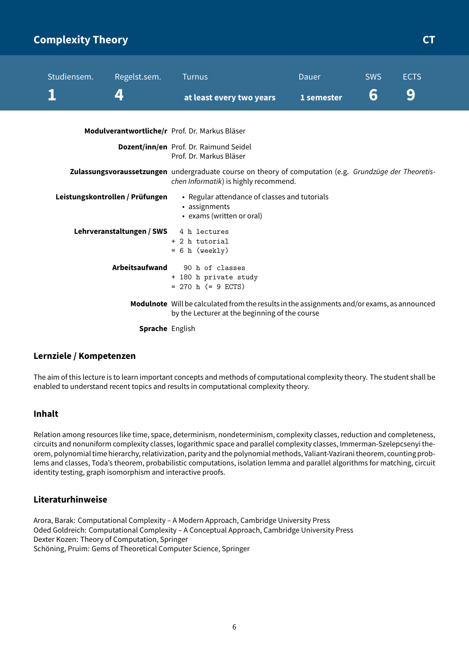# <span id="page-6-0"></span>**Complexity Theory CT COMPLEXITY COMPLEXITY CT**

| Studiensem. | Regelst.sem.                    | <b>Turnus</b>                                                                                                                                   | Dauer      | <b>SWS</b> | <b>ECTS</b> |
|-------------|---------------------------------|-------------------------------------------------------------------------------------------------------------------------------------------------|------------|------------|-------------|
|             | 4                               | at least every two years                                                                                                                        | 1 semester | 6          | 9           |
|             |                                 | Modulverantwortliche/r Prof. Dr. Markus Bläser                                                                                                  |            |            |             |
|             |                                 | Dozent/inn/en Prof. Dr. Raimund Seidel<br>Prof. Dr. Markus Bläser                                                                               |            |            |             |
|             |                                 | Zulassungsvoraussetzungen undergraduate course on theory of computation (e.g. Grundzüge der Theoretis-<br>chen Informatik) is highly recommend. |            |            |             |
|             | Leistungskontrollen / Prüfungen | • Regular attendance of classes and tutorials<br>• assignments<br>• exams (written or oral)                                                     |            |            |             |
|             | Lehrveranstaltungen / SWS       | 4 h lectures<br>+ 2 h tutorial<br>$= 6 h$ (weekly)                                                                                              |            |            |             |
|             | Arbeitsaufwand                  | 90 h of classes<br>+ 180 h private study<br>$= 270$ h ( $= 9$ ECTS)                                                                             |            |            |             |
|             |                                 | Modulnote Will be calculated from the results in the assignments and/or exams, as announced<br>by the Lecturer at the beginning of the course   |            |            |             |
|             | <b>Sprache</b> English          |                                                                                                                                                 |            |            |             |

### **Lernziele / Kompetenzen**

The aim of this lecture is to learn important concepts and methods of computational complexity theory. The student shall be enabled to understand recent topics and results in computational complexity theory.

### **Inhalt**

Relation among resources like time, space, determinism, nondeterminism, complexity classes, reduction and completeness, circuits and nonuniform complexity classes, logarithmic space and parallel complexity classes, Immerman-Szelepcsenyi theorem, polynomial time hierarchy, relativization, parity and the polynomial methods, Valiant-Vazirani theorem, counting problems and classes, Toda's theorem, probabilistic computations, isolation lemma and parallel algorithms for matching, circuit identity testing, graph isomorphism and interactive proofs.

### **Literaturhinweise**

Arora, Barak: Computational Complexity – A Modern Approach, Cambridge University Press Oded Goldreich: Computational Complexity – A Conceptual Approach, Cambridge University Press Dexter Kozen: Theory of Computation, Springer Schöning, Pruim: Gems of Theoretical Computer Science, Springer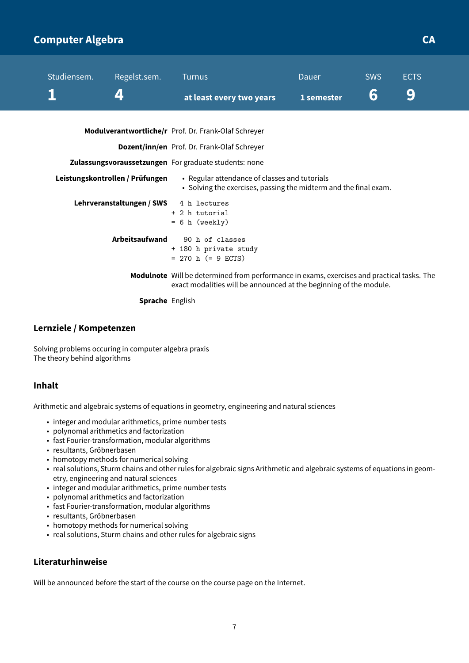# <span id="page-7-0"></span>**Computer Algebra CA**

| Studiensem. | Regelst.sem.                    | <b>Turnus</b>                                                                                                                                                    | Dauer      | <b>SWS</b> | <b>ECTS</b> |
|-------------|---------------------------------|------------------------------------------------------------------------------------------------------------------------------------------------------------------|------------|------------|-------------|
|             | 4                               | at least every two years                                                                                                                                         | 1 semester | 6          | 9           |
|             |                                 | Modulverantwortliche/r Prof. Dr. Frank-Olaf Schreyer                                                                                                             |            |            |             |
|             |                                 | <b>Dozent/inn/en</b> Prof. Dr. Frank-Olaf Schreyer                                                                                                               |            |            |             |
|             |                                 | Zulassungsvoraussetzungen For graduate students: none                                                                                                            |            |            |             |
|             | Leistungskontrollen / Prüfungen | • Regular attendance of classes and tutorials<br>• Solving the exercises, passing the midterm and the final exam.                                                |            |            |             |
|             | Lehrveranstaltungen / SWS       | 4 h lectures<br>+ 2 h tutorial<br>$= 6 h$ (weekly)                                                                                                               |            |            |             |
|             | <b>Arbeitsaufwand</b>           | 90 h of classes<br>+ 180 h private study<br>$= 270$ h (= 9 ECTS)                                                                                                 |            |            |             |
|             |                                 | Modulnote Will be determined from performance in exams, exercises and practical tasks. The<br>exact modalities will be announced at the beginning of the module. |            |            |             |
|             | <b>Sprache</b> English          |                                                                                                                                                                  |            |            |             |

### **Lernziele / Kompetenzen**

Solving problems occuring in computer algebra praxis The theory behind algorithms

### **Inhalt**

Arithmetic and algebraic systems of equations in geometry, engineering and natural sciences

- integer and modular arithmetics, prime number tests
- polynomal arithmetics and factorization
- fast Fourier-transformation, modular algorithms
- resultants, Gröbnerbasen
- homotopy methods for numerical solving
- real solutions, Sturm chains and other rules for algebraic signs Arithmetic and algebraic systems of equations in geometry, engineering and natural sciences
- integer and modular arithmetics, prime number tests
- polynomal arithmetics and factorization
- fast Fourier-transformation, modular algorithms
- resultants, Gröbnerbasen
- homotopy methods for numerical solving
- real solutions, Sturm chains and other rules for algebraic signs

### **Literaturhinweise**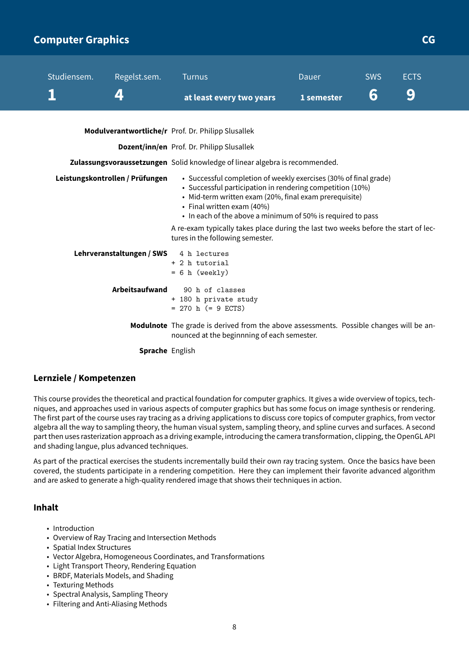## <span id="page-8-0"></span>**Computer Graphics CG**

| Studiensem. | Regelst.sem.                           | <b>Turnus</b>                                                                                                                                                                                                                                                                                                                                                              | Dauer      | <b>SWS</b> | <b>ECTS</b> |
|-------------|----------------------------------------|----------------------------------------------------------------------------------------------------------------------------------------------------------------------------------------------------------------------------------------------------------------------------------------------------------------------------------------------------------------------------|------------|------------|-------------|
|             | 4                                      | at least every two years                                                                                                                                                                                                                                                                                                                                                   | 1 semester | 6          | 9           |
|             |                                        | Modulverantwortliche/r Prof. Dr. Philipp Slusallek                                                                                                                                                                                                                                                                                                                         |            |            |             |
|             |                                        | <b>Dozent/inn/en</b> Prof. Dr. Philipp Slusallek                                                                                                                                                                                                                                                                                                                           |            |            |             |
|             |                                        | Zulassungsvoraussetzungen Solid knowledge of linear algebra is recommended.                                                                                                                                                                                                                                                                                                |            |            |             |
|             | Leistungskontrollen / Prüfungen        | • Successful completion of weekly exercises (30% of final grade)<br>• Successful participation in rendering competition (10%)<br>• Mid-term written exam (20%, final exam prerequisite)<br>• Final written exam (40%)<br>• In each of the above a minimum of 50% is required to pass<br>A re-exam typically takes place during the last two weeks before the start of lec- |            |            |             |
|             | Lehrveranstaltungen / SWS 4 h lectures | tures in the following semester.<br>+ 2 h tutorial<br>$= 6 h$ (weekly)                                                                                                                                                                                                                                                                                                     |            |            |             |
|             | Arbeitsaufwand                         | 90 h of classes<br>+ 180 h private study<br>$= 270$ h $(= 9$ ECTS)                                                                                                                                                                                                                                                                                                         |            |            |             |
|             |                                        | Modulnote The grade is derived from the above assessments. Possible changes will be an-<br>nounced at the beginnning of each semester.                                                                                                                                                                                                                                     |            |            |             |

**Sprache** English

### **Lernziele / Kompetenzen**

This course provides the theoretical and practical foundation for computer graphics. It gives a wide overview of topics, techniques, and approaches used in various aspects of computer graphics but has some focus on image synthesis or rendering. The first part of the course uses ray tracing as a driving applications to discuss core topics of computer graphics, from vector algebra all the way to sampling theory, the human visual system, sampling theory, and spline curves and surfaces. A second part then uses rasterization approach as a driving example, introducing the camera transformation, clipping, the OpenGL API and shading langue, plus advanced techniques.

As part of the practical exercises the students incrementally build their own ray tracing system. Once the basics have been covered, the students participate in a rendering competition. Here they can implement their favorite advanced algorithm and are asked to generate a high-quality rendered image that shows their techniques in action.

### **Inhalt**

- Introduction
- Overview of Ray Tracing and Intersection Methods
- Spatial Index Structures
- Vector Algebra, Homogeneous Coordinates, and Transformations
- Light Transport Theory, Rendering Equation
- BRDF, Materials Models, and Shading
- Texturing Methods
- Spectral Analysis, Sampling Theory
- Filtering and Anti-Aliasing Methods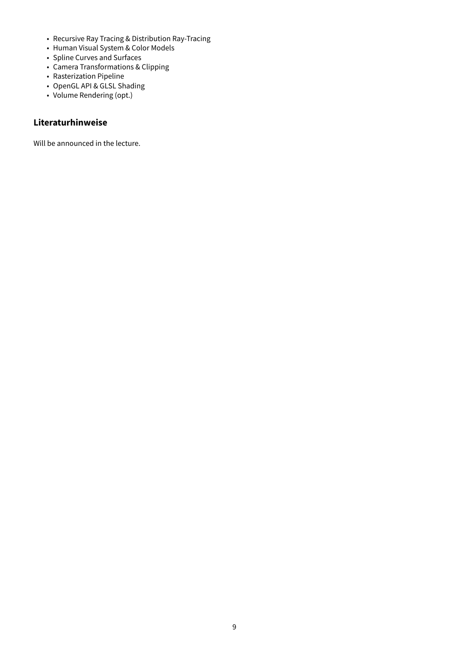- Recursive Ray Tracing & Distribution Ray-Tracing
- Human Visual System & Color Models
- Spline Curves and Surfaces
- Camera Transformations & Clipping
- Rasterization Pipeline
- OpenGL API & GLSL Shading
- Volume Rendering (opt.)

### **Literaturhinweise**

Will be announced in the lecture.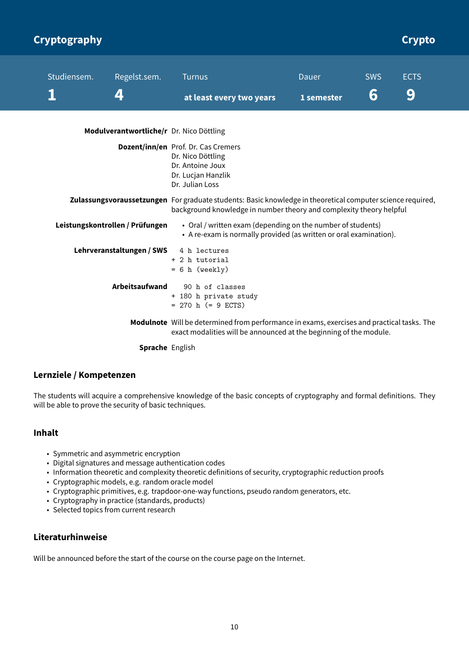<span id="page-10-0"></span>

| Cryptography |                                          |                                                                                                                                                                                   |            |            | Crypto      |
|--------------|------------------------------------------|-----------------------------------------------------------------------------------------------------------------------------------------------------------------------------------|------------|------------|-------------|
| Studiensem.  | Regelst.sem.                             | <b>Turnus</b>                                                                                                                                                                     | Dauer      | <b>SWS</b> | <b>ECTS</b> |
|              | 4                                        | at least every two years                                                                                                                                                          | 1 semester | 6          | 9           |
|              | Modulverantwortliche/r Dr. Nico Döttling |                                                                                                                                                                                   |            |            |             |
|              |                                          | Dozent/inn/en Prof. Dr. Cas Cremers<br>Dr. Nico Döttling<br>Dr. Antoine Joux<br>Dr. Lucjan Hanzlik<br>Dr. Julian Loss                                                             |            |            |             |
|              |                                          | Zulassungsvoraussetzungen For graduate students: Basic knowledge in theoretical computer science required,<br>background knowledge in number theory and complexity theory helpful |            |            |             |
|              | Leistungskontrollen / Prüfungen          | • Oral / written exam (depending on the number of students)<br>• A re-exam is normally provided (as written or oral examination).                                                 |            |            |             |
|              | Lehrveranstaltungen / SWS                | 4 h lectures<br>+ 2 h tutorial<br>$= 6 h$ (weekly)                                                                                                                                |            |            |             |
|              | <b>Arbeitsaufwand</b>                    | 90 h of classes<br>+ 180 h private study<br>$= 270$ h (= 9 ECTS)                                                                                                                  |            |            |             |
|              |                                          | Modulnote Will be determined from performance in exams, exercises and practical tasks. The<br>exact modalities will be announced at the beginning of the module.                  |            |            |             |
|              | Sprache English                          |                                                                                                                                                                                   |            |            |             |

### **Lernziele / Kompetenzen**

The students will acquire a comprehensive knowledge of the basic concepts of cryptography and formal definitions. They will be able to prove the security of basic techniques.

### **Inhalt**

- Symmetric and asymmetric encryption
- Digital signatures and message authentication codes
- Information theoretic and complexity theoretic definitions of security, cryptographic reduction proofs
- Cryptographic models, e.g. random oracle model
- Cryptographic primitives, e.g. trapdoor-one-way functions, pseudo random generators, etc.
- Cryptography in practice (standards, products)
- Selected topics from current research

### **Literaturhinweise**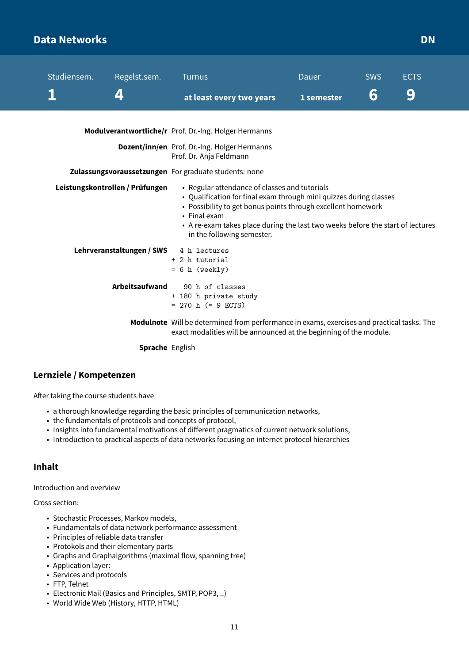### <span id="page-11-0"></span>**Data Networks DN**

| Studiensem. | Regelst.sem.                    | <b>Turnus</b>                                                                                                                                                                                                                                                                                                       | Dauer      | <b>SWS</b> | <b>ECTS</b> |
|-------------|---------------------------------|---------------------------------------------------------------------------------------------------------------------------------------------------------------------------------------------------------------------------------------------------------------------------------------------------------------------|------------|------------|-------------|
|             | 4                               | at least every two years                                                                                                                                                                                                                                                                                            | 1 semester | 6          | 9           |
|             |                                 | Modulverantwortliche/r Prof. Dr.-Ing. Holger Hermanns                                                                                                                                                                                                                                                               |            |            |             |
|             |                                 | Dozent/inn/en Prof. Dr.-Ing. Holger Hermanns<br>Prof. Dr. Anja Feldmann                                                                                                                                                                                                                                             |            |            |             |
|             |                                 | Zulassungsvoraussetzungen For graduate students: none                                                                                                                                                                                                                                                               |            |            |             |
|             | Leistungskontrollen / Prüfungen | • Regular attendance of classes and tutorials<br>• Qualification for final exam through mini quizzes during classes<br>• Possibility to get bonus points through excellent homework<br>• Final exam<br>• A re-exam takes place during the last two weeks before the start of lectures<br>in the following semester. |            |            |             |
|             | Lehrveranstaltungen / SWS       | 4 h lectures<br>+ 2 h tutorial<br>$= 6 h$ (weekly)                                                                                                                                                                                                                                                                  |            |            |             |
|             | Arbeitsaufwand                  | 90 h of classes<br>+ 180 h private study<br>$= 270$ h (= 9 ECTS)                                                                                                                                                                                                                                                    |            |            |             |
|             |                                 | Modulnote Will be determined from performance in exams, exercises and practical tasks. The<br>exact modalities will be announced at the beginning of the module.                                                                                                                                                    |            |            |             |
|             | <b>Sprache English</b>          |                                                                                                                                                                                                                                                                                                                     |            |            |             |

### **Lernziele / Kompetenzen**

After taking the course students have

- a thorough knowledge regarding the basic principles of communication networks,
- the fundamentals of protocols and concepts of protocol,
- Insights into fundamental motivations of different pragmatics of current network solutions,
- Introduction to practical aspects of data networks focusing on internet protocol hierarchies

### **Inhalt**

Introduction and overview

Cross section:

- Stochastic Processes, Markov models,
- Fundamentals of data network performance assessment
- Principles of reliable data transfer
- Protokols and their elementary parts
- Graphs and Graphalgorithms (maximal flow, spanning tree)
- Application layer:
- Services and protocols
- FTP, Telnet
- Electronic Mail (Basics and Principles, SMTP, POP3, ..)
- World Wide Web (History, HTTP, HTML)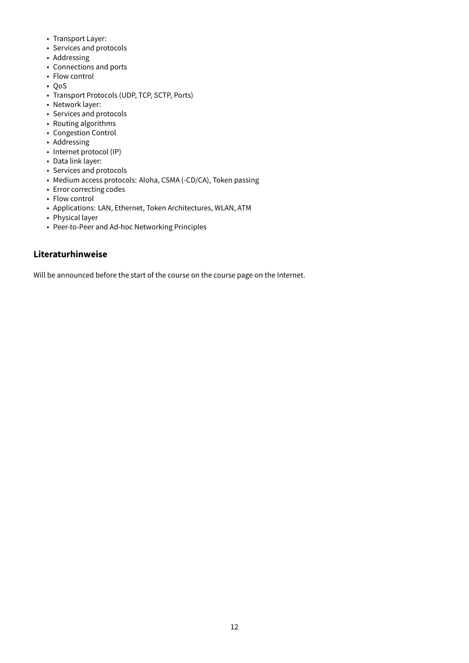- Transport Layer:
- Services and protocols
- Addressing
- Connections and ports
- Flow control
- QoS
- Transport Protocols (UDP, TCP, SCTP, Ports)
- Network layer:
- Services and protocols
- Routing algorithms
- Congestion Control
- Addressing
- Internet protocol (IP)
- Data link layer:
- Services and protocols
- Medium access protocols: Aloha, CSMA (-CD/CA), Token passing
- Error correcting codes
- Flow control
- Applications: LAN, Ethernet, Token Architectures, WLAN, ATM
- Physical layer
- Peer-to-Peer and Ad-hoc Networking Principles

### **Literaturhinweise**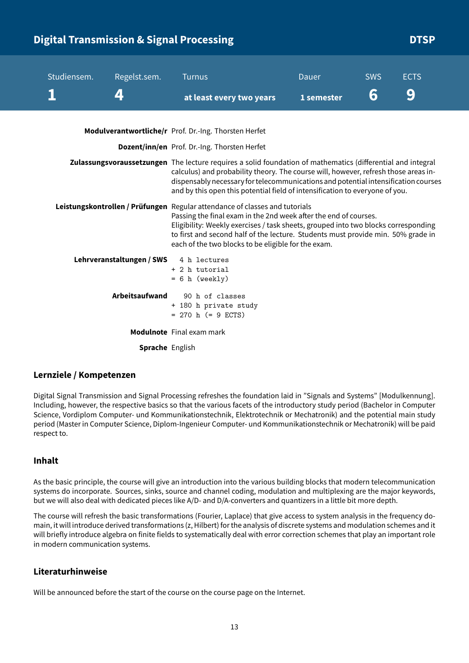# <span id="page-13-0"></span>**Digital Transmission & Signal Processing DTSP** DTSP

| Studiensem. | Regelst.sem.              | <b>Turnus</b><br>at least every two years                                                                                                                                                                                                                                                                                                                                        | Dauer<br>1 semester | <b>SWS</b><br>6 | <b>ECTS</b><br>$\left( 0\right)$ |
|-------------|---------------------------|----------------------------------------------------------------------------------------------------------------------------------------------------------------------------------------------------------------------------------------------------------------------------------------------------------------------------------------------------------------------------------|---------------------|-----------------|----------------------------------|
|             |                           | Modulverantwortliche/r Prof. Dr.-Ing. Thorsten Herfet                                                                                                                                                                                                                                                                                                                            |                     |                 |                                  |
|             |                           | Dozent/inn/en Prof. Dr.-Ing. Thorsten Herfet                                                                                                                                                                                                                                                                                                                                     |                     |                 |                                  |
|             |                           | Zulassungsvoraussetzungen The lecture requires a solid foundation of mathematics (differential and integral<br>calculus) and probability theory. The course will, however, refresh those areas in-<br>dispensably necessary for telecommunications and potential intensification courses<br>and by this open this potential field of intensification to everyone of you.         |                     |                 |                                  |
|             |                           | Leistungskontrollen / Prüfungen Regular attendance of classes and tutorials<br>Passing the final exam in the 2nd week after the end of courses.<br>Eligibility: Weekly exercises / task sheets, grouped into two blocks corresponding<br>to first and second half of the lecture. Students must provide min. 50% grade in<br>each of the two blocks to be eligible for the exam. |                     |                 |                                  |
|             | Lehrveranstaltungen / SWS | 4 h lectures<br>+ 2 h tutorial<br>$= 6 h$ (weekly)                                                                                                                                                                                                                                                                                                                               |                     |                 |                                  |
|             | Arbeitsaufwand            | 90 h of classes<br>+ 180 h private study<br>$= 270$ h (= 9 ECTS)                                                                                                                                                                                                                                                                                                                 |                     |                 |                                  |
|             |                           | <b>Modulnote</b> Final exam mark                                                                                                                                                                                                                                                                                                                                                 |                     |                 |                                  |
|             | <b>Sprache English</b>    |                                                                                                                                                                                                                                                                                                                                                                                  |                     |                 |                                  |

### **Lernziele / Kompetenzen**

Digital Signal Transmission and Signal Processing refreshes the foundation laid in "Signals and Systems" [Modulkennung]. Including, however, the respective basics so that the various facets of the introductory study period (Bachelor in Computer Science, Vordiplom Computer- und Kommunikationstechnik, Elektrotechnik or Mechatronik) and the potential main study period (Master in Computer Science, Diplom-Ingenieur Computer- und Kommunikationstechnik or Mechatronik) will be paid respect to.

### **Inhalt**

As the basic principle, the course will give an introduction into the various building blocks that modern telecommunication systems do incorporate. Sources, sinks, source and channel coding, modulation and multiplexing are the major keywords, but we will also deal with dedicated pieces like A/D- and D/A-converters and quantizers in a little bit more depth.

The course will refresh the basic transformations (Fourier, Laplace) that give access to system analysis in the frequency domain, it will introduce derived transformations (z, Hilbert) for the analysis of discrete systems and modulation schemes and it will briefly introduce algebra on finite fields to systematically deal with error correction schemes that play an important role in modern communication systems.

### **Literaturhinweise**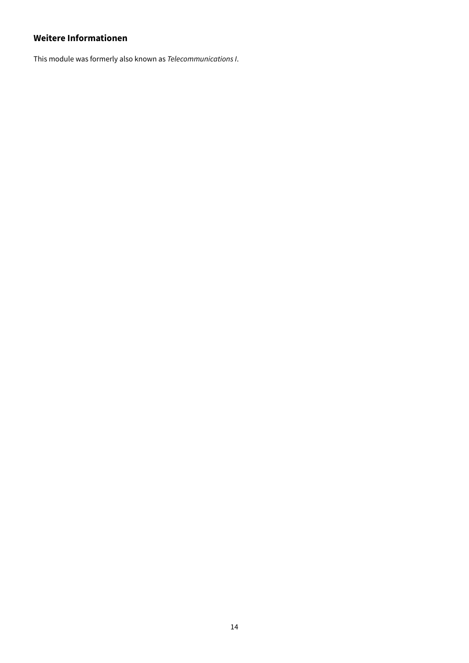### **Weitere Informationen**

This module was formerly also known as Telecommunications I.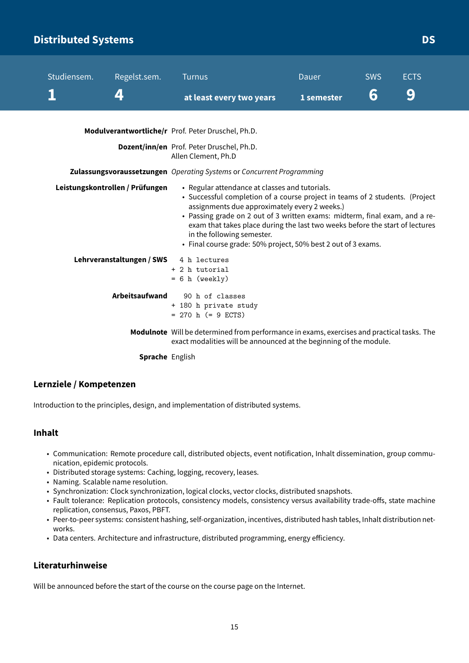# <span id="page-15-0"></span>**Distributed Systems DS**

| Studiensem. | Regelst.sem.                    | <b>Turnus</b>                                                                                                                                                                                                                                                                                                                                                                                                                                 | Dauer      | <b>SWS</b> | <b>ECTS</b> |
|-------------|---------------------------------|-----------------------------------------------------------------------------------------------------------------------------------------------------------------------------------------------------------------------------------------------------------------------------------------------------------------------------------------------------------------------------------------------------------------------------------------------|------------|------------|-------------|
|             | 4                               | at least every two years                                                                                                                                                                                                                                                                                                                                                                                                                      | 1 semester | 6          | 9           |
|             |                                 | Modulverantwortliche/r Prof. Peter Druschel, Ph.D.                                                                                                                                                                                                                                                                                                                                                                                            |            |            |             |
|             |                                 | Dozent/inn/en Prof. Peter Druschel, Ph.D.<br>Allen Clement, Ph.D                                                                                                                                                                                                                                                                                                                                                                              |            |            |             |
|             |                                 | Zulassungsvoraussetzungen Operating Systems or Concurrent Programming                                                                                                                                                                                                                                                                                                                                                                         |            |            |             |
|             | Leistungskontrollen / Prüfungen | • Regular attendance at classes and tutorials.<br>• Successful completion of a course project in teams of 2 students. (Project<br>assignments due approximately every 2 weeks.)<br>• Passing grade on 2 out of 3 written exams: midterm, final exam, and a re-<br>exam that takes place during the last two weeks before the start of lectures<br>in the following semester.<br>• Final course grade: 50% project, 50% best 2 out of 3 exams. |            |            |             |
|             | Lehrveranstaltungen / SWS       | 4 h lectures<br>+ 2 h tutorial<br>$= 6 h$ (weekly)                                                                                                                                                                                                                                                                                                                                                                                            |            |            |             |
|             | Arbeitsaufwand                  | 90 h of classes<br>+ 180 h private study<br>$= 270$ h (= 9 ECTS)                                                                                                                                                                                                                                                                                                                                                                              |            |            |             |
|             |                                 | Modulnote Will be determined from performance in exams, exercises and practical tasks. The<br>exact modalities will be announced at the beginning of the module.                                                                                                                                                                                                                                                                              |            |            |             |
|             | <b>Sprache English</b>          |                                                                                                                                                                                                                                                                                                                                                                                                                                               |            |            |             |

### **Lernziele / Kompetenzen**

Introduction to the principles, design, and implementation of distributed systems.

#### **Inhalt**

- Communication: Remote procedure call, distributed objects, event notification, Inhalt dissemination, group communication, epidemic protocols.
- Distributed storage systems: Caching, logging, recovery, leases.
- Naming. Scalable name resolution.
- Synchronization: Clock synchronization, logical clocks, vector clocks, distributed snapshots.
- Fault tolerance: Replication protocols, consistency models, consistency versus availability trade-offs, state machine replication, consensus, Paxos, PBFT.
- Peer-to-peer systems: consistent hashing, self-organization, incentives, distributed hash tables, Inhalt distribution networks.
- Data centers. Architecture and infrastructure, distributed programming, energy efficiency.

### **Literaturhinweise**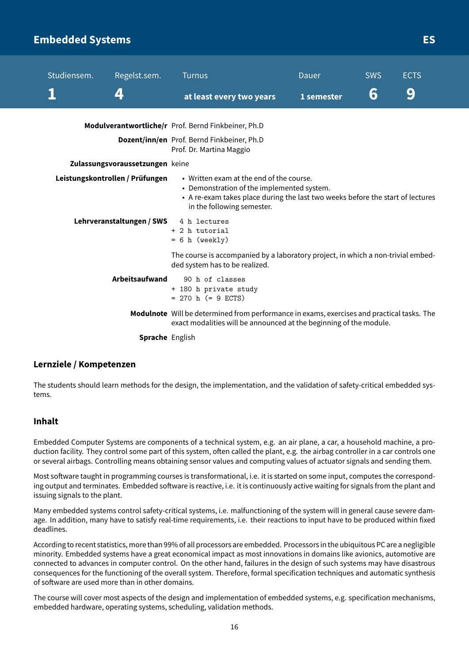### <span id="page-16-0"></span>**Embedded Systems ES**

| Studiensem. | Regelst.sem.                    | <b>Turnus</b>                                                                                                                                                                                          | <b>Dauer</b> | <b>SWS</b> | <b>ECTS</b> |
|-------------|---------------------------------|--------------------------------------------------------------------------------------------------------------------------------------------------------------------------------------------------------|--------------|------------|-------------|
|             | 4                               | at least every two years                                                                                                                                                                               | 1 semester   | 6          | 9           |
|             |                                 | Modulverantwortliche/r Prof. Bernd Finkbeiner, Ph.D                                                                                                                                                    |              |            |             |
|             |                                 | Dozent/inn/en Prof. Bernd Finkbeiner, Ph.D<br>Prof. Dr. Martina Maggio                                                                                                                                 |              |            |             |
|             | Zulassungsvoraussetzungen keine |                                                                                                                                                                                                        |              |            |             |
|             | Leistungskontrollen / Prüfungen | • Written exam at the end of the course.<br>• Demonstration of the implemented system.<br>• A re-exam takes place during the last two weeks before the start of lectures<br>in the following semester. |              |            |             |
|             | Lehrveranstaltungen / SWS       | 4 h lectures<br>+ 2 h tutorial<br>$= 6 h$ (weekly)                                                                                                                                                     |              |            |             |
|             |                                 | The course is accompanied by a laboratory project, in which a non-trivial embed-<br>ded system has to be realized.                                                                                     |              |            |             |
|             | Arbeitsaufwand                  | 90 h of classes<br>+ 180 h private study<br>$= 270$ h $(= 9$ ECTS)                                                                                                                                     |              |            |             |
|             |                                 | Modulnote Will be determined from performance in exams, exercises and practical tasks. The<br>exact modalities will be announced at the beginning of the module.                                       |              |            |             |
|             | <b>Sprache English</b>          |                                                                                                                                                                                                        |              |            |             |

### **Lernziele / Kompetenzen**

The students should learn methods for the design, the implementation, and the validation of safety-critical embedded systems.

#### **Inhalt**

Embedded Computer Systems are components of a technical system, e.g. an air plane, a car, a household machine, a production facility. They control some part of this system, often called the plant, e.g. the airbag controller in a car controls one or several airbags. Controlling means obtaining sensor values and computing values of actuator signals and sending them.

Most software taught in programming courses is transformational, i.e. it is started on some input, computes the corresponding output and terminates. Embedded software is reactive, i.e. it is continuously active waiting for signals from the plant and issuing signals to the plant.

Many embedded systems control safety-critical systems, i.e. malfunctioning of the system will in general cause severe damage. In addition, many have to satisfy real-time requirements, i.e. their reactions to input have to be produced within fixed deadlines.

According to recent statistics, more than 99% of all processors are embedded. Processors in the ubiquitous PC are a negligible minority. Embedded systems have a great economical impact as most innovations in domains like avionics, automotive are connected to advances in computer control. On the other hand, failures in the design of such systems may have disastrous consequences for the functioning of the overall system. Therefore, formal specification techniques and automatic synthesis of software are used more than in other domains.

The course will cover most aspects of the design and implementation of embedded systems, e.g. specification mechanisms, embedded hardware, operating systems, scheduling, validation methods.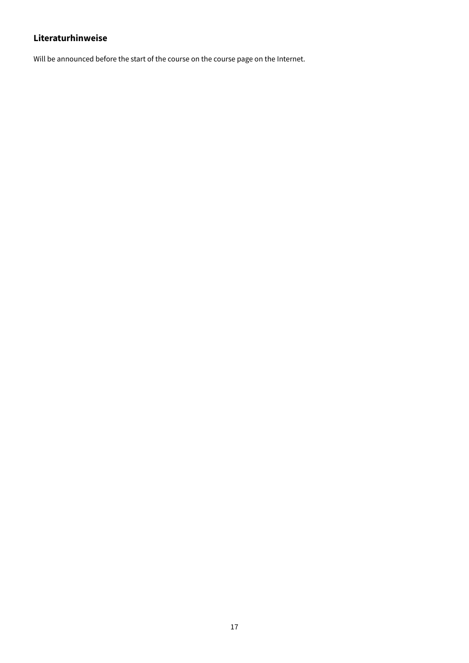# **Literaturhinweise**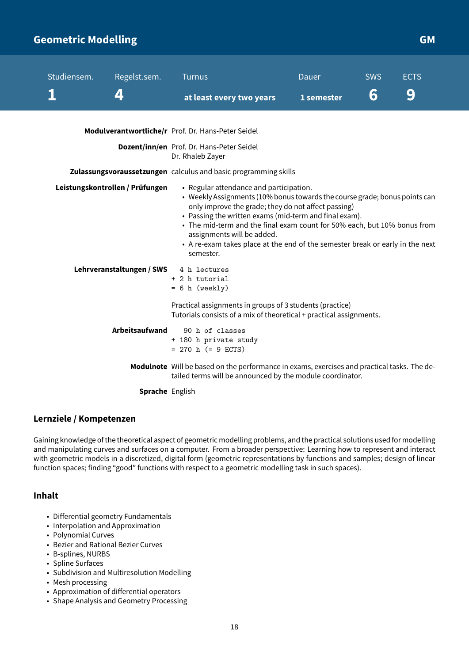### <span id="page-18-0"></span>**Geometric Modelling GMA GMA GMA GMA GMA GMA**

| Studiensem. | Regelst.sem.                           | <b>Turnus</b>                                                                                                                                                                                                                                                                                                                                                                                                                                  | Dauer      | <b>SWS</b> | <b>ECTS</b> |
|-------------|----------------------------------------|------------------------------------------------------------------------------------------------------------------------------------------------------------------------------------------------------------------------------------------------------------------------------------------------------------------------------------------------------------------------------------------------------------------------------------------------|------------|------------|-------------|
|             | 4                                      | at least every two years                                                                                                                                                                                                                                                                                                                                                                                                                       | 1 semester | 6          | 9           |
|             |                                        | Modulverantwortliche/r Prof. Dr. Hans-Peter Seidel                                                                                                                                                                                                                                                                                                                                                                                             |            |            |             |
|             |                                        | Dozent/inn/en Prof. Dr. Hans-Peter Seidel<br>Dr. Rhaleb Zayer                                                                                                                                                                                                                                                                                                                                                                                  |            |            |             |
|             |                                        | Zulassungsvoraussetzungen calculus and basic programming skills                                                                                                                                                                                                                                                                                                                                                                                |            |            |             |
|             | Leistungskontrollen / Prüfungen        | • Regular attendance and participation.<br>• Weekly Assignments (10% bonus towards the course grade; bonus points can<br>only improve the grade; they do not affect passing)<br>• Passing the written exams (mid-term and final exam).<br>• The mid-term and the final exam count for 50% each, but 10% bonus from<br>assignments will be added.<br>• A re-exam takes place at the end of the semester break or early in the next<br>semester. |            |            |             |
|             | Lehrveranstaltungen / SWS 4 h lectures | + 2 h tutorial<br>$= 6 h$ (weekly)                                                                                                                                                                                                                                                                                                                                                                                                             |            |            |             |
|             |                                        | Practical assignments in groups of 3 students (practice)<br>Tutorials consists of a mix of theoretical + practical assignments.                                                                                                                                                                                                                                                                                                                |            |            |             |
|             | Arbeitsaufwand                         | 90 h of classes<br>+ 180 h private study<br>$= 270$ h (= 9 ECTS)                                                                                                                                                                                                                                                                                                                                                                               |            |            |             |
|             |                                        | Modulnote Will be based on the performance in exams, exercises and practical tasks. The de-<br>tailed terms will be announced by the module coordinator.                                                                                                                                                                                                                                                                                       |            |            |             |
|             | Sprache English                        |                                                                                                                                                                                                                                                                                                                                                                                                                                                |            |            |             |

### **Lernziele / Kompetenzen**

Gaining knowledge of the theoretical aspect of geometric modelling problems, and the practical solutions used for modelling and manipulating curves and surfaces on a computer. From a broader perspective: Learning how to represent and interact with geometric models in a discretized, digital form (geometric representations by functions and samples; design of linear function spaces; finding "good" functions with respect to a geometric modelling task in such spaces).

### **Inhalt**

- Differential geometry Fundamentals
- Interpolation and Approximation
- Polynomial Curves
- Bezier and Rational Bezier Curves
- B-splines, NURBS
- Spline Surfaces
- Subdivision and Multiresolution Modelling
- Mesh processing
- Approximation of differential operators
- Shape Analysis and Geometry Processing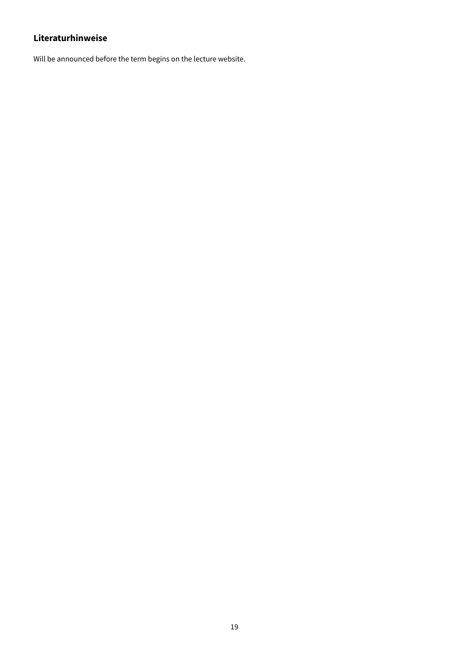# **Literaturhinweise**

Will be announced before the term begins on the lecture website.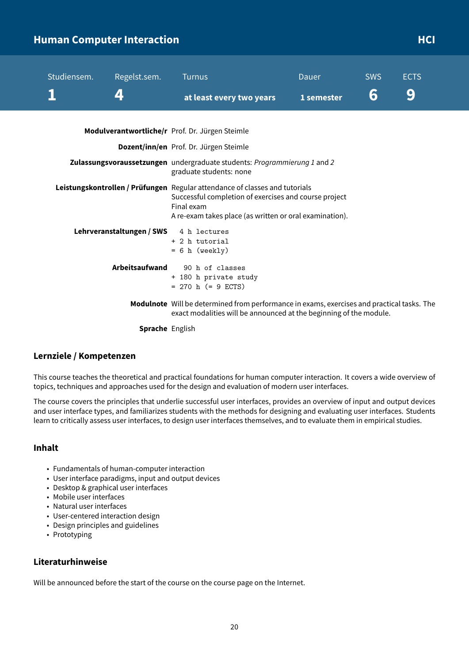# <span id="page-20-0"></span>**Human Computer Interaction According to the CI development of the CI development of the HCI**

| Studiensem. | Regelst.sem.              | <b>Turnus</b>                                                                                                                                                                                                 | <b>Dauer</b> | <b>SWS</b> | <b>ECTS</b> |
|-------------|---------------------------|---------------------------------------------------------------------------------------------------------------------------------------------------------------------------------------------------------------|--------------|------------|-------------|
|             | 4                         | at least every two years                                                                                                                                                                                      | 1 semester   | 6          | 9           |
|             |                           | Modulverantwortliche/r Prof. Dr. Jürgen Steimle                                                                                                                                                               |              |            |             |
|             |                           | Dozent/inn/en Prof. Dr. Jürgen Steimle                                                                                                                                                                        |              |            |             |
|             |                           | Zulassungsvoraussetzungen undergraduate students: Programmierung 1 and 2<br>graduate students: none                                                                                                           |              |            |             |
|             |                           | Leistungskontrollen / Prüfungen Regular attendance of classes and tutorials<br>Successful completion of exercises and course project<br>Final exam<br>A re-exam takes place (as written or oral examination). |              |            |             |
|             | Lehrveranstaltungen / SWS | 4 h lectures<br>+ 2 h tutorial<br>$= 6 h$ (weekly)                                                                                                                                                            |              |            |             |
|             | Arbeitsaufwand            | 90 h of classes<br>+ 180 h private study<br>$= 270$ h (= 9 ECTS)                                                                                                                                              |              |            |             |
|             |                           | Modulnote Will be determined from performance in exams, exercises and practical tasks. The<br>exact modalities will be announced at the beginning of the module.                                              |              |            |             |
|             | <b>Sprache</b> English    |                                                                                                                                                                                                               |              |            |             |

### **Lernziele / Kompetenzen**

This course teaches the theoretical and practical foundations for human computer interaction. It covers a wide overview of topics, techniques and approaches used for the design and evaluation of modern user interfaces.

The course covers the principles that underlie successful user interfaces, provides an overview of input and output devices and user interface types, and familiarizes students with the methods for designing and evaluating user interfaces. Students learn to critically assess user interfaces, to design user interfaces themselves, and to evaluate them in empirical studies.

### **Inhalt**

- Fundamentals of human-computer interaction
- User interface paradigms, input and output devices
- Desktop & graphical user interfaces
- Mobile user interfaces
- Natural user interfaces
- User-centered interaction design
- Design principles and guidelines
- Prototyping

### **Literaturhinweise**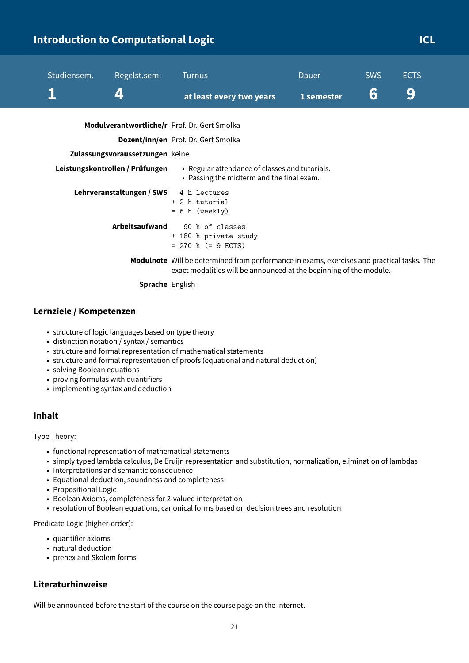# <span id="page-21-0"></span>**Introduction to Computational Logic Computational Logic Computational Logic Computational CL**

| Studiensem.<br>Regelst.sem.<br>4                                   | <b>Turnus</b><br>at least every two years                                                                                                                        | Dauer<br>1 semester | <b>SWS</b><br>6 | <b>ECTS</b><br>9 |
|--------------------------------------------------------------------|------------------------------------------------------------------------------------------------------------------------------------------------------------------|---------------------|-----------------|------------------|
| Modulverantwortliche/r Prof. Dr. Gert Smolka                       | Dozent/inn/en Prof. Dr. Gert Smolka                                                                                                                              |                     |                 |                  |
| Zulassungsvoraussetzungen keine<br>Leistungskontrollen / Prüfungen | • Regular attendance of classes and tutorials.<br>• Passing the midterm and the final exam.                                                                      |                     |                 |                  |
| Lehrveranstaltungen / SWS                                          | 4 h lectures<br>+ 2 h tutorial<br>$= 6$ h (weekly)                                                                                                               |                     |                 |                  |
| Arbeitsaufwand                                                     | 90 h of classes<br>+ 180 h private study<br>$= 270$ h ( $= 9$ ECTS)                                                                                              |                     |                 |                  |
| <b>Sprache English</b>                                             | Modulnote Will be determined from performance in exams, exercises and practical tasks. The<br>exact modalities will be announced at the beginning of the module. |                     |                 |                  |

### **Lernziele / Kompetenzen**

- structure of logic languages based on type theory
- distinction notation / syntax / semantics
- structure and formal representation of mathematical statements
- structure and formal representation of proofs (equational and natural deduction)
- solving Boolean equations
- proving formulas with quantifiers
- implementing syntax and deduction

### **Inhalt**

Type Theory:

- functional representation of mathematical statements
- simply typed lambda calculus, De Bruijn representation and substitution, normalization, elimination of lambdas
- Interpretations and semantic consequence
- Equational deduction, soundness and completeness
- Propositional Logic
- Boolean Axioms, completeness for 2-valued interpretation
- resolution of Boolean equations, canonical forms based on decision trees and resolution

Predicate Logic (higher-order):

- quantifier axioms
- natural deduction
- prenex and Skolem forms

### **Literaturhinweise**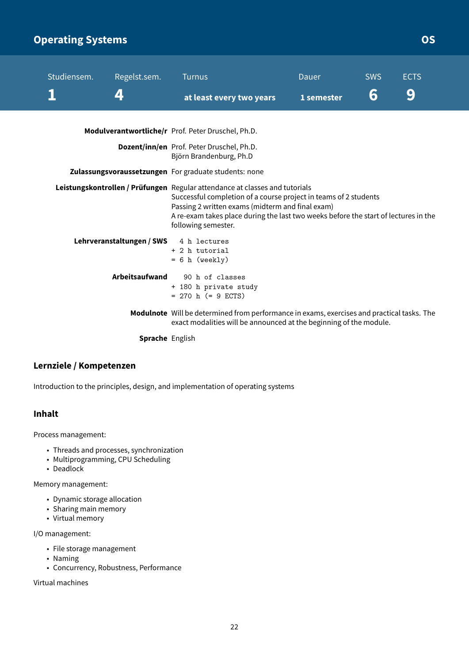# <span id="page-22-0"></span>**Operating Systems Contract Contract Contract Contract Contract Contract Contract Contract Contract Contract Contract Contract Contract Contract Contract Contract Contract Contract Contract Contract Contract Contract Contr**

| Studiensem. | Regelst.sem.                           | <b>Turnus</b>                                                                                                                                                                                                                                                                                                     | Dauer      | <b>SWS</b> | <b>ECTS</b> |  |
|-------------|----------------------------------------|-------------------------------------------------------------------------------------------------------------------------------------------------------------------------------------------------------------------------------------------------------------------------------------------------------------------|------------|------------|-------------|--|
|             | 4                                      | at least every two years                                                                                                                                                                                                                                                                                          | 1 semester | 6          | 9           |  |
|             |                                        | Modulverantwortliche/r Prof. Peter Druschel, Ph.D.                                                                                                                                                                                                                                                                |            |            |             |  |
|             |                                        | Dozent/inn/en Prof. Peter Druschel, Ph.D.<br>Björn Brandenburg, Ph.D                                                                                                                                                                                                                                              |            |            |             |  |
|             |                                        | Zulassungsvoraussetzungen For graduate students: none                                                                                                                                                                                                                                                             |            |            |             |  |
|             |                                        | Leistungskontrollen / Prüfungen Regular attendance at classes and tutorials<br>Successful completion of a course project in teams of 2 students<br>Passing 2 written exams (midterm and final exam)<br>A re-exam takes place during the last two weeks before the start of lectures in the<br>following semester. |            |            |             |  |
|             | Lehrveranstaltungen / SWS 4 h lectures | + 2 h tutorial<br>$= 6 h$ (weekly)                                                                                                                                                                                                                                                                                |            |            |             |  |
|             | Arbeitsaufwand                         | 90 h of classes<br>+ 180 h private study<br>$= 270$ h (= 9 ECTS)                                                                                                                                                                                                                                                  |            |            |             |  |
|             |                                        | Modulnote Will be determined from performance in exams, exercises and practical tasks. The<br>exact modalities will be announced at the beginning of the module.                                                                                                                                                  |            |            |             |  |
|             | Capacha Facile                         |                                                                                                                                                                                                                                                                                                                   |            |            |             |  |

**Sprache** English

### **Lernziele / Kompetenzen**

Introduction to the principles, design, and implementation of operating systems

### **Inhalt**

Process management:

- Threads and processes, synchronization
- Multiprogramming, CPU Scheduling
- Deadlock

Memory management:

- Dynamic storage allocation
- Sharing main memory
- Virtual memory

I/O management:

- File storage management
- Naming
- Concurrency, Robustness, Performance

Virtual machines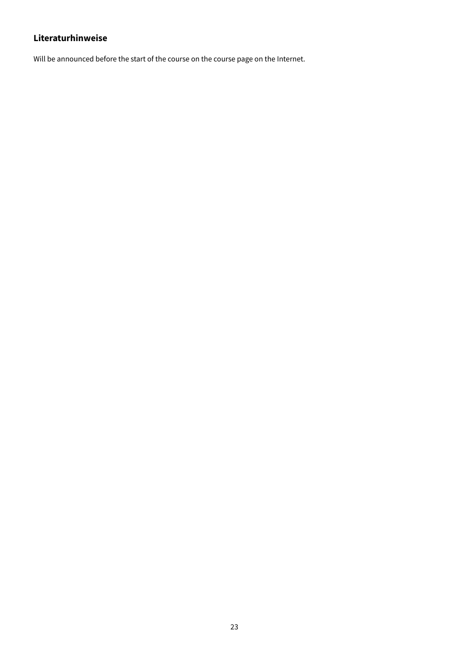# **Literaturhinweise**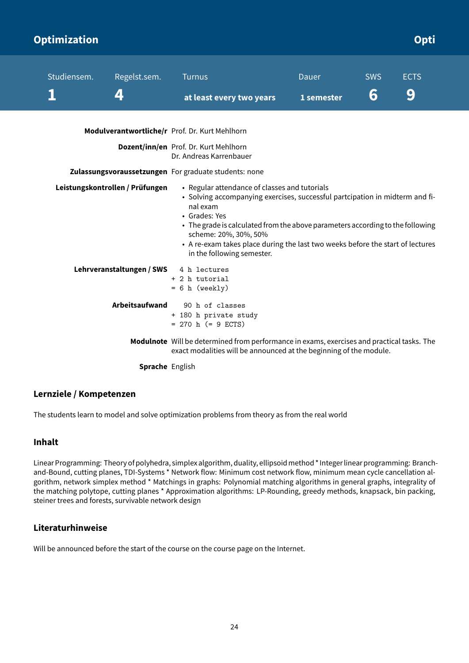<span id="page-24-0"></span>

| <b>Optimization</b> |                                 |                                                                                                                                                                                                                                                                                                                                                                                       |            |            | Opti        |
|---------------------|---------------------------------|---------------------------------------------------------------------------------------------------------------------------------------------------------------------------------------------------------------------------------------------------------------------------------------------------------------------------------------------------------------------------------------|------------|------------|-------------|
| Studiensem.         | Regelst.sem.                    | <b>Turnus</b>                                                                                                                                                                                                                                                                                                                                                                         | Dauer      | <b>SWS</b> | <b>ECTS</b> |
|                     | 4                               | at least every two years                                                                                                                                                                                                                                                                                                                                                              | 1 semester | 6          | 9           |
|                     |                                 | Modulverantwortliche/r Prof. Dr. Kurt Mehlhorn                                                                                                                                                                                                                                                                                                                                        |            |            |             |
|                     |                                 | Dozent/inn/en Prof. Dr. Kurt Mehlhorn<br>Dr. Andreas Karrenbauer                                                                                                                                                                                                                                                                                                                      |            |            |             |
|                     |                                 | Zulassungsvoraussetzungen For graduate students: none                                                                                                                                                                                                                                                                                                                                 |            |            |             |
|                     | Leistungskontrollen / Prüfungen | • Regular attendance of classes and tutorials<br>• Solving accompanying exercises, successful partcipation in midterm and fi-<br>nal exam<br>• Grades: Yes<br>• The grade is calculated from the above parameters according to the following<br>scheme: 20%, 30%, 50%<br>• A re-exam takes place during the last two weeks before the start of lectures<br>in the following semester. |            |            |             |
|                     | Lehrveranstaltungen / SWS       | 4 h lectures<br>+ 2 h tutorial<br>$= 6 h$ (weekly)                                                                                                                                                                                                                                                                                                                                    |            |            |             |
|                     | Arbeitsaufwand                  | 90 h of classes<br>+ 180 h private study<br>$= 270$ h (= 9 ECTS)                                                                                                                                                                                                                                                                                                                      |            |            |             |
|                     |                                 | Modulnote Will be determined from performance in exams, exercises and practical tasks. The<br>exact modalities will be announced at the beginning of the module.                                                                                                                                                                                                                      |            |            |             |
|                     | <b>Sprache</b> English          |                                                                                                                                                                                                                                                                                                                                                                                       |            |            |             |

### **Lernziele / Kompetenzen**

The students learn to model and solve optimization problems from theory as from the real world

### **Inhalt**

Linear Programming: Theory of polyhedra, simplex algorithm, duality, ellipsoidmethod \* Integer linear programming: Branchand-Bound, cutting planes, TDI-Systems \* Network flow: Minimum cost network flow, minimum mean cycle cancellation algorithm, network simplex method \* Matchings in graphs: Polynomial matching algorithms in general graphs, integrality of the matching polytope, cutting planes \* Approximation algorithms: LP-Rounding, greedy methods, knapsack, bin packing, steiner trees and forests, survivable network design

### **Literaturhinweise**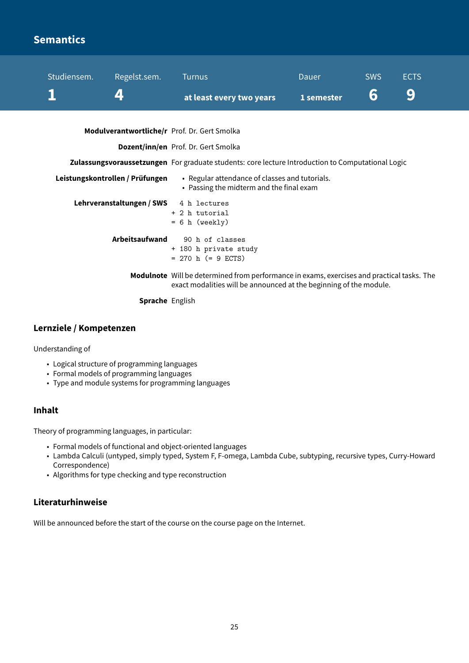# <span id="page-25-0"></span>**Semantics**

| Studiensem. | Regelst.sem.                                 | <b>Turnus</b>                                                                                                                                                    | <b>Dauer</b> | <b>SWS</b> | <b>ECTS</b> |
|-------------|----------------------------------------------|------------------------------------------------------------------------------------------------------------------------------------------------------------------|--------------|------------|-------------|
|             |                                              | at least every two years                                                                                                                                         | 1 semester   | 6          | 9           |
|             | Modulverantwortliche/r Prof. Dr. Gert Smolka |                                                                                                                                                                  |              |            |             |
|             |                                              | Dozent/inn/en Prof. Dr. Gert Smolka                                                                                                                              |              |            |             |
|             |                                              | Zulassungsvoraussetzungen For graduate students: core lecture Introduction to Computational Logic                                                                |              |            |             |
|             | Leistungskontrollen / Prüfungen              | • Regular attendance of classes and tutorials.<br>• Passing the midterm and the final exam                                                                       |              |            |             |
|             | Lehrveranstaltungen / SWS                    | 4 h lectures<br>+ 2 h tutorial<br>$= 6 h$ (weekly)                                                                                                               |              |            |             |
|             | Arbeitsaufwand                               | 90 h of classes<br>+ 180 h private study<br>$= 270$ h (= 9 ECTS)                                                                                                 |              |            |             |
|             |                                              | Modulnote Will be determined from performance in exams, exercises and practical tasks. The<br>exact modalities will be announced at the beginning of the module. |              |            |             |
|             | <b>Sprache English</b>                       |                                                                                                                                                                  |              |            |             |

### **Lernziele / Kompetenzen**

Understanding of

- Logical structure of programming languages
- Formal models of programming languages
- Type and module systems for programming languages

### **Inhalt**

Theory of programming languages, in particular:

- Formal models of functional and object-oriented languages
- Lambda Calculi (untyped, simply typed, System F, F-omega, Lambda Cube, subtyping, recursive types, Curry-Howard Correspondence)
- Algorithms for type checking and type reconstruction

### **Literaturhinweise**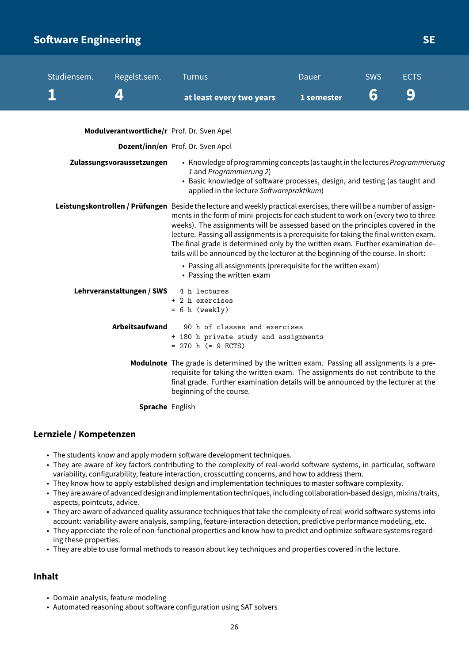# <span id="page-26-0"></span>**Software Engineering Security and SE**

| Studiensem. | Regelst.sem.                               | <b>Turnus</b>                                                                                                                                                                                                                                                                                                                                                                                                                                                                                                                                                  | Dauer      | <b>SWS</b> | <b>ECTS</b> |  |
|-------------|--------------------------------------------|----------------------------------------------------------------------------------------------------------------------------------------------------------------------------------------------------------------------------------------------------------------------------------------------------------------------------------------------------------------------------------------------------------------------------------------------------------------------------------------------------------------------------------------------------------------|------------|------------|-------------|--|
|             | 4                                          | at least every two years                                                                                                                                                                                                                                                                                                                                                                                                                                                                                                                                       | 1 semester | 6          | 9           |  |
|             | Modulverantwortliche/r Prof. Dr. Sven Apel |                                                                                                                                                                                                                                                                                                                                                                                                                                                                                                                                                                |            |            |             |  |
|             |                                            | Dozent/inn/en Prof. Dr. Sven Apel                                                                                                                                                                                                                                                                                                                                                                                                                                                                                                                              |            |            |             |  |
|             | Zulassungsvoraussetzungen                  | • Knowledge of programming concepts (as taught in the lectures Programmierung<br>1 and Programmierung 2)<br>• Basic knowledge of software processes, design, and testing (as taught and<br>applied in the lecture Softwarepraktikum)                                                                                                                                                                                                                                                                                                                           |            |            |             |  |
|             |                                            | Leistungskontrollen / Prüfungen Beside the lecture and weekly practical exercises, there will be a number of assign-<br>ments in the form of mini-projects for each student to work on (every two to three<br>weeks). The assignments will be assessed based on the principles covered in the<br>lecture. Passing all assignments is a prerequisite for taking the final written exam.<br>The final grade is determined only by the written exam. Further examination de-<br>tails will be announced by the lecturer at the beginning of the course. In short: |            |            |             |  |
|             |                                            | • Passing all assignments (prerequisite for the written exam)<br>• Passing the written exam                                                                                                                                                                                                                                                                                                                                                                                                                                                                    |            |            |             |  |
|             | Lehrveranstaltungen / SWS                  | 4 h lectures<br>+ 2 h exercises<br>$= 6 h$ (weekly)                                                                                                                                                                                                                                                                                                                                                                                                                                                                                                            |            |            |             |  |
|             | Arbeitsaufwand                             | 90 h of classes and exercises<br>+ 180 h private study and assignments<br>$= 270$ h ( $= 9$ ECTS)                                                                                                                                                                                                                                                                                                                                                                                                                                                              |            |            |             |  |
|             |                                            | Modulnote The grade is determined by the written exam. Passing all assignments is a pre-<br>requisite for taking the written exam. The assignments do not contribute to the<br>final grade. Further examination details will be announced by the lecturer at the<br>beginning of the course.                                                                                                                                                                                                                                                                   |            |            |             |  |

**Sprache** English

### **Lernziele / Kompetenzen**

- The students know and apply modern software development techniques.
- They are aware of key factors contributing to the complexity of real-world software systems, in particular, software variability, configurability, feature interaction, crosscutting concerns, and how to address them.
- They know how to apply established design and implementation techniques to master software complexity.
- They are aware of advanced design and implementation techniques, including collaboration-based design, mixins/traits, aspects, pointcuts, advice.
- They are aware of advanced quality assurance techniques that take the complexity of real-world software systems into account: variability-aware analysis, sampling, feature-interaction detection, predictive performance modeling, etc.
- They appreciate the role of non-functional properties and know how to predict and optimize software systems regarding these properties.
- They are able to use formal methods to reason about key techniques and properties covered in the lecture.

### **Inhalt**

- Domain analysis, feature modeling
- Automated reasoning about software configuration using SAT solvers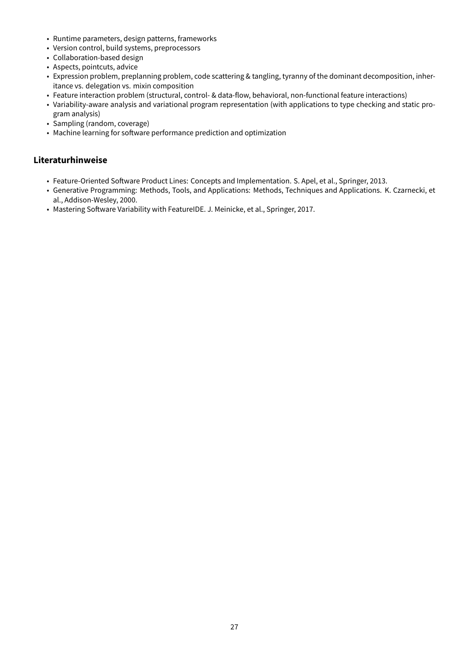- Runtime parameters, design patterns, frameworks
- Version control, build systems, preprocessors
- Collaboration-based design
- Aspects, pointcuts, advice
- Expression problem, preplanning problem, code scattering & tangling, tyranny of the dominant decomposition, inheritance vs. delegation vs. mixin composition
- Feature interaction problem (structural, control- & data-flow, behavioral, non-functional feature interactions)
- Variability-aware analysis and variational program representation (with applications to type checking and static program analysis)
- Sampling (random, coverage)
- Machine learning for software performance prediction and optimization

### **Literaturhinweise**

- Feature-Oriented Software Product Lines: Concepts and Implementation. S. Apel, et al., Springer, 2013.
- Generative Programming: Methods, Tools, and Applications: Methods, Techniques and Applications. K. Czarnecki, et al., Addison-Wesley, 2000.
- Mastering Software Variability with FeatureIDE. J. Meinicke, et al., Springer, 2017.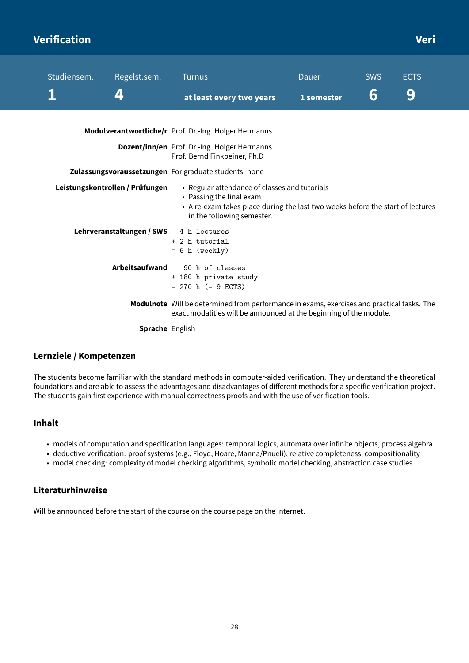# <span id="page-28-0"></span>**Verification Veri**

| Studiensem. | Regelst.sem.                    | <b>Turnus</b>                                                                                                                                                                             | Dauer      | <b>SWS</b> | <b>ECTS</b> |
|-------------|---------------------------------|-------------------------------------------------------------------------------------------------------------------------------------------------------------------------------------------|------------|------------|-------------|
|             | 4                               | at least every two years                                                                                                                                                                  | 1 semester | 6          | 9           |
|             |                                 | Modulverantwortliche/r Prof. Dr.-Ing. Holger Hermanns                                                                                                                                     |            |            |             |
|             |                                 | Dozent/inn/en Prof. Dr.-Ing. Holger Hermanns<br>Prof. Bernd Finkbeiner, Ph.D                                                                                                              |            |            |             |
|             |                                 | Zulassungsvoraussetzungen For graduate students: none                                                                                                                                     |            |            |             |
|             | Leistungskontrollen / Prüfungen | • Regular attendance of classes and tutorials<br>• Passing the final exam<br>• A re-exam takes place during the last two weeks before the start of lectures<br>in the following semester. |            |            |             |
|             | Lehrveranstaltungen / SWS       | 4 h lectures<br>+ 2 h tutorial<br>$= 6 h$ (weekly)                                                                                                                                        |            |            |             |
|             | Arbeitsaufwand                  | 90 h of classes<br>+ 180 h private study<br>$= 270$ h (= 9 ECTS)                                                                                                                          |            |            |             |
|             |                                 | Modulnote Will be determined from performance in exams, exercises and practical tasks. The<br>exact modalities will be announced at the beginning of the module.                          |            |            |             |
|             | <b>Sprache</b> English          |                                                                                                                                                                                           |            |            |             |

### **Lernziele / Kompetenzen**

The students become familiar with the standard methods in computer-aided verification. They understand the theoretical foundations and are able to assess the advantages and disadvantages of different methods for a specific verification project. The students gain first experience with manual correctness proofs and with the use of verification tools.

### **Inhalt**

- models of computation and specification languages: temporal logics, automata over infinite objects, process algebra
- deductive verification: proof systems (e.g., Floyd, Hoare, Manna/Pnueli), relative completeness, compositionality
- model checking: complexity of model checking algorithms, symbolic model checking, abstraction case studies

### **Literaturhinweise**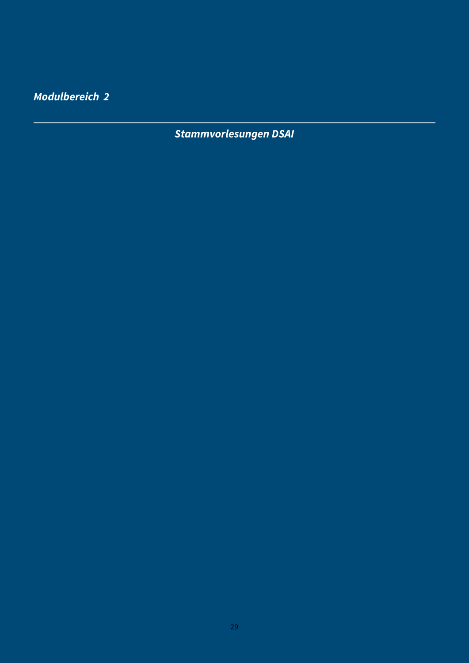<span id="page-29-0"></span>**Modulbereich 2**

**Stammvorlesungen DSAI**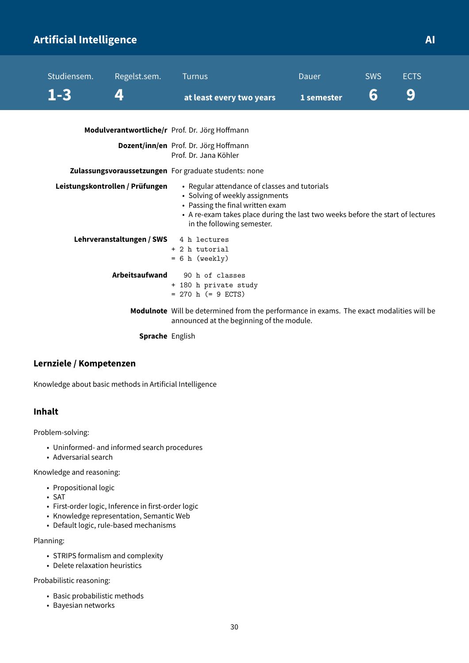# <span id="page-30-0"></span>**Artificial Intelligence AI**

| Studiensem. | Regelst.sem.                    | <b>Turnus</b>                                                                                                                                                                                                                        | Dauer      | <b>SWS</b> | <b>ECTS</b> |  |
|-------------|---------------------------------|--------------------------------------------------------------------------------------------------------------------------------------------------------------------------------------------------------------------------------------|------------|------------|-------------|--|
| $1 - 3$     | 4                               | at least every two years                                                                                                                                                                                                             | 1 semester | 6          | 9           |  |
|             |                                 | Modulverantwortliche/r Prof. Dr. Jörg Hoffmann                                                                                                                                                                                       |            |            |             |  |
|             |                                 | Dozent/inn/en Prof. Dr. Jörg Hoffmann<br>Prof. Dr. Jana Köhler                                                                                                                                                                       |            |            |             |  |
|             |                                 | Zulassungsvoraussetzungen For graduate students: none                                                                                                                                                                                |            |            |             |  |
|             | Leistungskontrollen / Prüfungen | • Regular attendance of classes and tutorials<br>• Solving of weekly assignments<br>• Passing the final written exam<br>• A re-exam takes place during the last two weeks before the start of lectures<br>in the following semester. |            |            |             |  |
|             | Lehrveranstaltungen / SWS       | 4 h lectures<br>+ 2 h tutorial<br>$= 6 h$ (weekly)                                                                                                                                                                                   |            |            |             |  |
|             | <b>Arbeitsaufwand</b>           | 90 h of classes<br>+ 180 h private study<br>$= 270$ h (= 9 ECTS)                                                                                                                                                                     |            |            |             |  |
|             |                                 | Modulnote Will be determined from the performance in exams. The exact modalities will be<br>announced at the beginning of the module.                                                                                                |            |            |             |  |

**Sprache** English

### **Lernziele / Kompetenzen**

Knowledge about basic methods in Artificial Intelligence

### **Inhalt**

Problem-solving:

- Uninformed- and informed search procedures
- Adversarial search

Knowledge and reasoning:

- Propositional logic
- SAT
- First-order logic, Inference in first-order logic
- Knowledge representation, Semantic Web
- Default logic, rule-based mechanisms

Planning:

- STRIPS formalism and complexity
- Delete relaxation heuristics

Probabilistic reasoning:

- Basic probabilistic methods
- Bayesian networks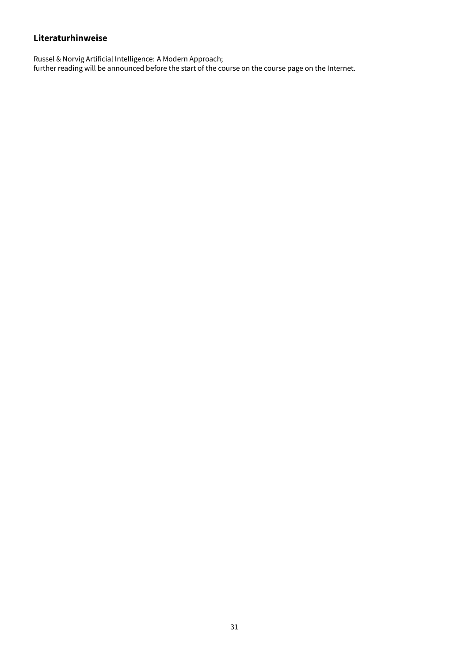### **Literaturhinweise**

Russel & Norvig Artificial Intelligence: A Modern Approach; further reading will be announced before the start of the course on the course page on the Internet.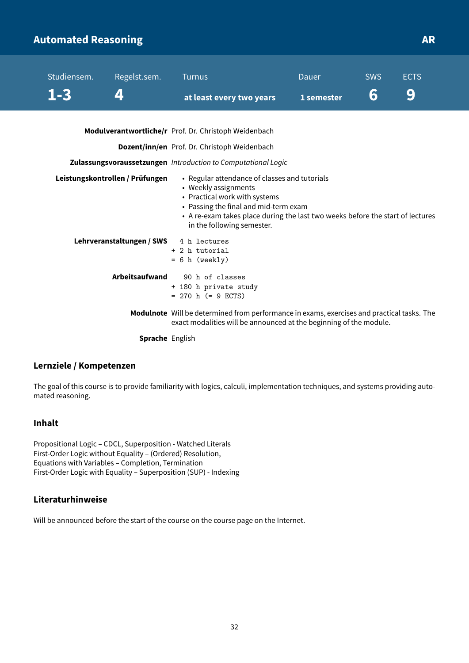# <span id="page-32-0"></span>**Automated Reasoning AR**

| Studiensem. | Regelst.sem.                    | <b>Turnus</b>                                                                                                                                                                                                                                                   | Dauer      | <b>SWS</b> | <b>ECTS</b> |
|-------------|---------------------------------|-----------------------------------------------------------------------------------------------------------------------------------------------------------------------------------------------------------------------------------------------------------------|------------|------------|-------------|
| $1 - 3$     | 4                               | at least every two years                                                                                                                                                                                                                                        | 1 semester | 6          | 9           |
|             |                                 | Modulverantwortliche/r Prof. Dr. Christoph Weidenbach                                                                                                                                                                                                           |            |            |             |
|             |                                 | Dozent/inn/en Prof. Dr. Christoph Weidenbach                                                                                                                                                                                                                    |            |            |             |
|             |                                 | Zulassungsvoraussetzungen Introduction to Computational Logic                                                                                                                                                                                                   |            |            |             |
|             | Leistungskontrollen / Prüfungen | • Regular attendance of classes and tutorials<br>• Weekly assignments<br>• Practical work with systems<br>• Passing the final and mid-term exam<br>• A re-exam takes place during the last two weeks before the start of lectures<br>in the following semester. |            |            |             |
|             | Lehrveranstaltungen / SWS       | 4 h lectures<br>+ 2 h tutorial<br>$= 6 h$ (weekly)                                                                                                                                                                                                              |            |            |             |
|             | Arbeitsaufwand                  | 90 h of classes<br>+ 180 h private study<br>$= 270$ h (= 9 ECTS)                                                                                                                                                                                                |            |            |             |
|             |                                 | Modulnote Will be determined from performance in exams, exercises and practical tasks. The<br>exact modalities will be announced at the beginning of the module.                                                                                                |            |            |             |
|             | الملائم والمسترقين والمستحدث    |                                                                                                                                                                                                                                                                 |            |            |             |

**Sprache** English

### **Lernziele / Kompetenzen**

The goal of this course is to provide familiarity with logics, calculi, implementation techniques, and systems providing automated reasoning.

### **Inhalt**

Propositional Logic – CDCL, Superposition - Watched Literals First-Order Logic without Equality – (Ordered) Resolution, Equations with Variables – Completion, Termination First-Order Logic with Equality – Superposition (SUP) - Indexing

### **Literaturhinweise**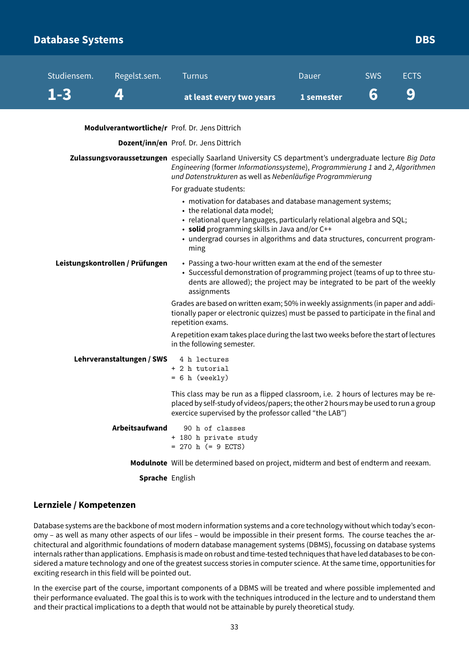### <span id="page-33-0"></span>**Database Systems** DBS **Database Systems**

| Studiensem.                                                                        | Regelst.sem.                    | <b>Turnus</b>                                                                                                                                                                                                                                                                                                | Dauer      | <b>SWS</b> | <b>ECTS</b> |  |
|------------------------------------------------------------------------------------|---------------------------------|--------------------------------------------------------------------------------------------------------------------------------------------------------------------------------------------------------------------------------------------------------------------------------------------------------------|------------|------------|-------------|--|
| $1 - 3$                                                                            | 4                               | at least every two years                                                                                                                                                                                                                                                                                     | 1 semester | 6          | 9           |  |
|                                                                                    |                                 | Modulverantwortliche/r Prof. Dr. Jens Dittrich                                                                                                                                                                                                                                                               |            |            |             |  |
|                                                                                    |                                 | Dozent/inn/en Prof. Dr. Jens Dittrich                                                                                                                                                                                                                                                                        |            |            |             |  |
|                                                                                    |                                 | Zulassungsvoraussetzungen especially Saarland University CS department's undergraduate lecture Big Data<br>Engineering (former Informationssysteme), Programmierung 1 and 2, Algorithmen<br>und Datenstrukturen as well as Nebenläufige Programmierung                                                       |            |            |             |  |
|                                                                                    |                                 | For graduate students:                                                                                                                                                                                                                                                                                       |            |            |             |  |
|                                                                                    |                                 | • motivation for databases and database management systems;<br>• the relational data model;<br>· relational query languages, particularly relational algebra and SQL;<br>• solid programming skills in Java and/or C++<br>• undergrad courses in algorithms and data structures, concurrent program-<br>ming |            |            |             |  |
|                                                                                    | Leistungskontrollen / Prüfungen | • Passing a two-hour written exam at the end of the semester<br>• Successful demonstration of programming project (teams of up to three stu-<br>dents are allowed); the project may be integrated to be part of the weekly<br>assignments                                                                    |            |            |             |  |
|                                                                                    |                                 | Grades are based on written exam; 50% in weekly assignments (in paper and addi-<br>tionally paper or electronic quizzes) must be passed to participate in the final and<br>repetition exams.                                                                                                                 |            |            |             |  |
|                                                                                    |                                 | A repetition exam takes place during the last two weeks before the start of lectures<br>in the following semester.                                                                                                                                                                                           |            |            |             |  |
|                                                                                    | Lehrveranstaltungen / SWS       | 4 h lectures<br>+ 2 h tutorial<br>$= 6 h$ (weekly)                                                                                                                                                                                                                                                           |            |            |             |  |
|                                                                                    |                                 | This class may be run as a flipped classroom, i.e. 2 hours of lectures may be re-<br>placed by self-study of videos/papers; the other 2 hours may be used to run a group<br>exercice supervised by the professor called "the LAB")                                                                           |            |            |             |  |
| Arbeitsaufwand<br>90 h of classes<br>+ 180 h private study<br>$= 270$ h (= 9 ECTS) |                                 |                                                                                                                                                                                                                                                                                                              |            |            |             |  |
|                                                                                    |                                 | Modulnote Will be determined based on project, midterm and best of endterm and reexam.                                                                                                                                                                                                                       |            |            |             |  |

**Sprache** English

### **Lernziele / Kompetenzen**

Database systems are the backbone of most modern information systems and a core technology without which today's economy – as well as many other aspects of our lifes – would be impossible in their present forms. The course teaches the architectural and algorithmic foundations of modern database management systems (DBMS), focussing on database systems internals rather than applications. Emphasis is made on robust and time-tested techniques that have led databases to be considered a mature technology and one of the greatest success stories in computer science. At the same time, opportunities for exciting research in this field will be pointed out.

In the exercise part of the course, important components of a DBMS will be treated and where possible implemented and their performance evaluated. The goal this is to work with the techniques introduced in the lecture and to understand them and their practical implications to a depth that would not be attainable by purely theoretical study.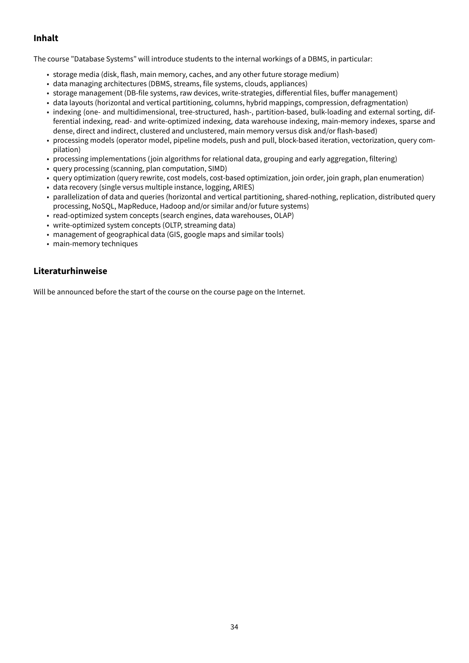### **Inhalt**

The course "Database Systems" will introduce students to the internal workings of a DBMS, in particular:

- storage media (disk, flash, main memory, caches, and any other future storage medium)
- data managing architectures (DBMS, streams, file systems, clouds, appliances)
- storage management (DB-file systems, raw devices, write-strategies, differential files, buffer management)
- data layouts (horizontal and vertical partitioning, columns, hybrid mappings, compression, defragmentation)
- indexing (one- and multidimensional, tree-structured, hash-, partition-based, bulk-loading and external sorting, differential indexing, read- and write-optimized indexing, data warehouse indexing, main-memory indexes, sparse and dense, direct and indirect, clustered and unclustered, main memory versus disk and/or flash-based)
- processing models (operator model, pipeline models, push and pull, block-based iteration, vectorization, query compilation)
- processing implementations (join algorithms for relational data, grouping and early aggregation, filtering)
- query processing (scanning, plan computation, SIMD)
- query optimization (query rewrite, cost models, cost-based optimization, join order, join graph, plan enumeration)
- data recovery (single versus multiple instance, logging, ARIES)
- parallelization of data and queries (horizontal and vertical partitioning, shared-nothing, replication, distributed query processing, NoSQL, MapReduce, Hadoop and/or similar and/or future systems)
- read-optimized system concepts (search engines, data warehouses, OLAP)
- write-optimized system concepts (OLTP, streaming data)
- management of geographical data (GIS, google maps and similar tools)
- main-memory techniques

### **Literaturhinweise**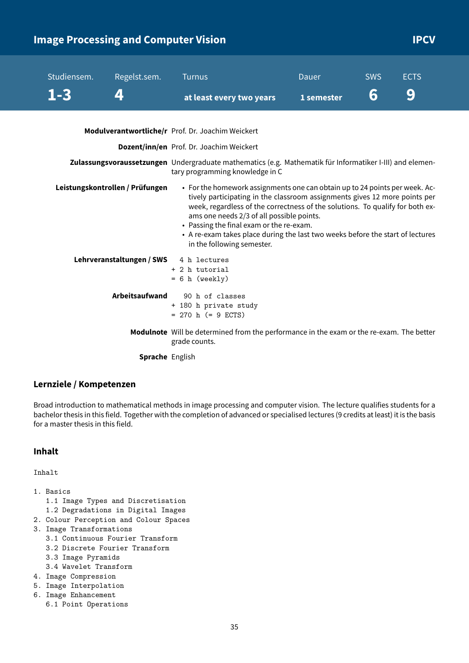# <span id="page-35-0"></span>**Image Processing and Computer Vision IPCV IPCV**

| Studiensem. | Regelst.sem.                    | <b>Turnus</b>                                                                                                                                                                                                                                                                                                                                                                                                                                       | Dauer      | <b>SWS</b> | <b>ECTS</b> |  |
|-------------|---------------------------------|-----------------------------------------------------------------------------------------------------------------------------------------------------------------------------------------------------------------------------------------------------------------------------------------------------------------------------------------------------------------------------------------------------------------------------------------------------|------------|------------|-------------|--|
| $1 - 3$     | 4                               | at least every two years                                                                                                                                                                                                                                                                                                                                                                                                                            | 1 semester | 6          | 9           |  |
|             |                                 | Modulverantwortliche/r Prof. Dr. Joachim Weickert                                                                                                                                                                                                                                                                                                                                                                                                   |            |            |             |  |
|             |                                 | Dozent/inn/en Prof. Dr. Joachim Weickert                                                                                                                                                                                                                                                                                                                                                                                                            |            |            |             |  |
|             |                                 | Zulassungsvoraussetzungen Undergraduate mathematics (e.g. Mathematik für Informatiker I-III) and elemen-<br>tary programming knowledge in C                                                                                                                                                                                                                                                                                                         |            |            |             |  |
|             | Leistungskontrollen / Prüfungen | • For the homework assignments one can obtain up to 24 points per week. Ac-<br>tively participating in the classroom assignments gives 12 more points per<br>week, regardless of the correctness of the solutions. To qualify for both ex-<br>ams one needs 2/3 of all possible points.<br>• Passing the final exam or the re-exam.<br>• A re-exam takes place during the last two weeks before the start of lectures<br>in the following semester. |            |            |             |  |
|             | Lehrveranstaltungen / SWS       | 4 h lectures<br>+ 2 h tutorial<br>$= 6 h$ (weekly)                                                                                                                                                                                                                                                                                                                                                                                                  |            |            |             |  |
|             | <b>Arbeitsaufwand</b>           | 90 h of classes<br>+ 180 h private study<br>$= 270$ h (= 9 ECTS)                                                                                                                                                                                                                                                                                                                                                                                    |            |            |             |  |
|             |                                 | Modulnote Will be determined from the performance in the exam or the re-exam. The better<br>grade counts.                                                                                                                                                                                                                                                                                                                                           |            |            |             |  |
|             | Sprache English                 |                                                                                                                                                                                                                                                                                                                                                                                                                                                     |            |            |             |  |

#### **Lernziele / Kompetenzen**

Broad introduction to mathematical methods in image processing and computer vision. The lecture qualifies students for a bachelor thesis in this field. Together with the completion of advanced or specialised lectures (9 credits at least) it is the basis for a master thesis in this field.

### **Inhalt**

Inhalt

- 1. Basics
	- 1.1 Image Types and Discretisation
	- 1.2 Degradations in Digital Images
- 2. Colour Perception and Colour Spaces
- 3. Image Transformations
	- 3.1 Continuous Fourier Transform
	- 3.2 Discrete Fourier Transform
	- 3.3 Image Pyramids
	- 3.4 Wavelet Transform
- 4. Image Compression
- 5. Image Interpolation
- 6. Image Enhancement
	- 6.1 Point Operations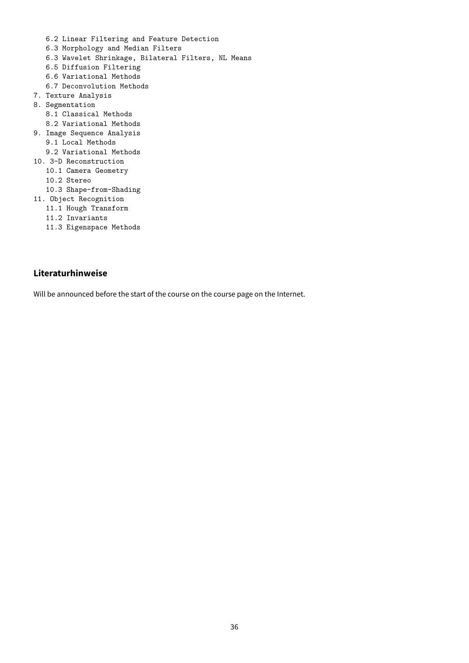- 6.2 Linear Filtering and Feature Detection
- 6.3 Morphology and Median Filters
- 6.3 Wavelet Shrinkage, Bilateral Filters, NL Means
- 6.5 Diffusion Filtering
- 6.6 Variational Methods
- 6.7 Deconvolution Methods
- 7. Texture Analysis
- 8. Segmentation
	- 8.1 Classical Methods
- 8.2 Variational Methods
- 9. Image Sequence Analysis
	- 9.1 Local Methods
- 9.2 Variational Methods
- 10. 3-D Reconstruction
	- 10.1 Camera Geometry
	- 10.2 Stereo
	- 10.3 Shape-from-Shading
- 11. Object Recognition
	- 11.1 Hough Transform
	- 11.2 Invariants
	- 11.3 Eigenspace Methods

### **Literaturhinweise**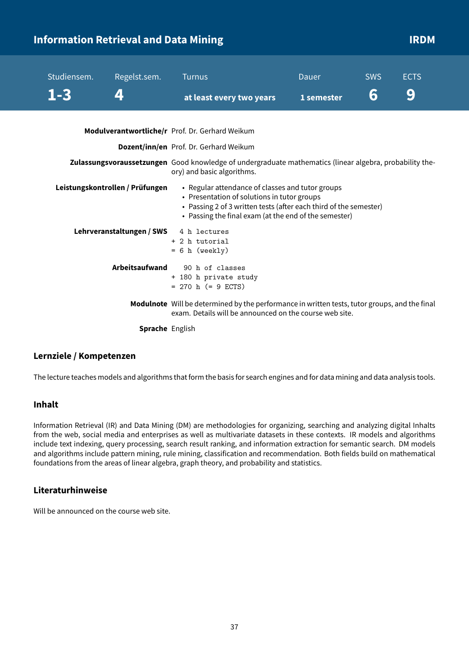<span id="page-37-0"></span>

| <b>Information Retrieval and Data Mining</b> |             |                                 |                                                                                                                                                                                                                               |              |            |             | <b>IRDM</b> |
|----------------------------------------------|-------------|---------------------------------|-------------------------------------------------------------------------------------------------------------------------------------------------------------------------------------------------------------------------------|--------------|------------|-------------|-------------|
|                                              | Studiensem. | Regelst.sem.                    | <b>Turnus</b>                                                                                                                                                                                                                 | <b>Dauer</b> | <b>SWS</b> | <b>ECTS</b> |             |
|                                              | $1 - 3$     | 4                               | at least every two years                                                                                                                                                                                                      | 1 semester   | 6          | 9           |             |
|                                              |             |                                 | Modulverantwortliche/r Prof. Dr. Gerhard Weikum                                                                                                                                                                               |              |            |             |             |
|                                              |             |                                 | Dozent/inn/en Prof. Dr. Gerhard Weikum                                                                                                                                                                                        |              |            |             |             |
|                                              |             |                                 | Zulassungsvoraussetzungen Good knowledge of undergraduate mathematics (linear algebra, probability the-<br>ory) and basic algorithms.                                                                                         |              |            |             |             |
|                                              |             | Leistungskontrollen / Prüfungen | • Regular attendance of classes and tutor groups<br>• Presentation of solutions in tutor groups<br>• Passing 2 of 3 written tests (after each third of the semester)<br>• Passing the final exam (at the end of the semester) |              |            |             |             |
|                                              |             | Lehrveranstaltungen / SWS       | 4 h lectures<br>+ 2 h tutorial<br>$= 6 h$ (weekly)                                                                                                                                                                            |              |            |             |             |
|                                              |             | Arbeitsaufwand                  | 90 h of classes<br>+ 180 h private study<br>$= 270$ h (= 9 ECTS)                                                                                                                                                              |              |            |             |             |
|                                              |             |                                 | Modulnote Will be determined by the performance in written tests, tutor groups, and the final<br>exam. Details will be announced on the course web site.                                                                      |              |            |             |             |
|                                              |             | <b>Sprache</b> English          |                                                                                                                                                                                                                               |              |            |             |             |

### **Lernziele / Kompetenzen**

The lecture teaches models and algorithms that form the basis for search engines and for data mining and data analysis tools.

### **Inhalt**

Information Retrieval (IR) and Data Mining (DM) are methodologies for organizing, searching and analyzing digital Inhalts from the web, social media and enterprises as well as multivariate datasets in these contexts. IR models and algorithms include text indexing, query processing, search result ranking, and information extraction for semantic search. DM models and algorithms include pattern mining, rule mining, classification and recommendation. Both fields build on mathematical foundations from the areas of linear algebra, graph theory, and probability and statistics.

### **Literaturhinweise**

Will be announced on the course web site.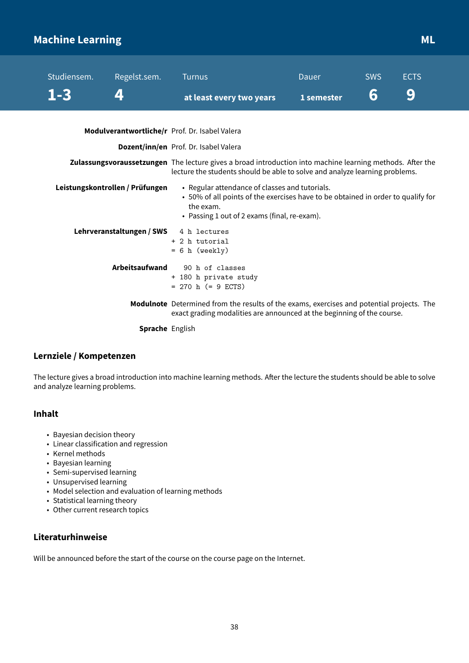# <span id="page-38-0"></span>**Machine Learning Music Community of the Community Community Community Community Community Community Community**

| Studiensem. | Regelst.sem.                    | <b>Turnus</b>                                                                                                                                                                                   | <b>Dauer</b> | <b>SWS</b> | <b>ECTS</b> |
|-------------|---------------------------------|-------------------------------------------------------------------------------------------------------------------------------------------------------------------------------------------------|--------------|------------|-------------|
| $1 - 3$     | 4                               | at least every two years                                                                                                                                                                        | 1 semester   | 6          | 9           |
|             |                                 | Modulverantwortliche/r Prof. Dr. Isabel Valera                                                                                                                                                  |              |            |             |
|             |                                 | Dozent/inn/en Prof. Dr. Isabel Valera                                                                                                                                                           |              |            |             |
|             |                                 | Zulassungsvoraussetzungen The lecture gives a broad introduction into machine learning methods. After the<br>lecture the students should be able to solve and analyze learning problems.        |              |            |             |
|             | Leistungskontrollen / Prüfungen | • Regular attendance of classes and tutorials.<br>• 50% of all points of the exercises have to be obtained in order to qualify for<br>the exam.<br>• Passing 1 out of 2 exams (final, re-exam). |              |            |             |
|             | Lehrveranstaltungen / SWS       | 4 h lectures<br>+ 2 h tutorial<br>$= 6 h$ (weekly)                                                                                                                                              |              |            |             |
|             | Arbeitsaufwand                  | 90 h of classes<br>+ 180 h private study<br>$= 270$ h (= 9 ECTS)                                                                                                                                |              |            |             |
|             |                                 | Modulnote Determined from the results of the exams, exercises and potential projects. The<br>exact grading modalities are announced at the beginning of the course.                             |              |            |             |
|             | <b>Sprache English</b>          |                                                                                                                                                                                                 |              |            |             |

### **Lernziele / Kompetenzen**

The lecture gives a broad introduction into machine learning methods. After the lecture the students should be able to solve and analyze learning problems.

### **Inhalt**

- Bayesian decision theory
- Linear classification and regression
- Kernel methods
- Bayesian learning
- Semi-supervised learning
- Unsupervised learning
- Model selection and evaluation of learning methods
- Statistical learning theory
- Other current research topics

### **Literaturhinweise**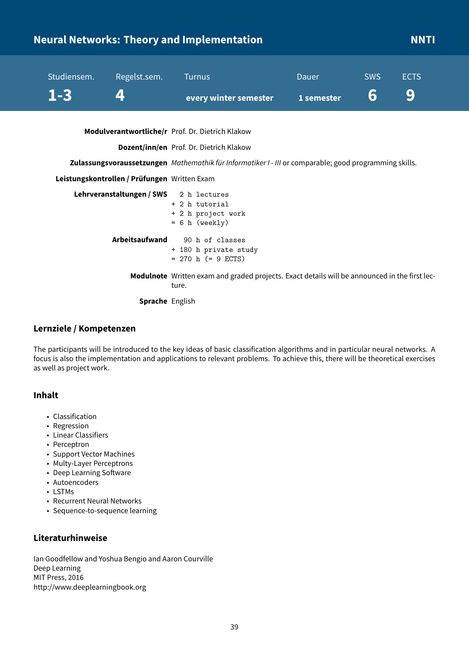# <span id="page-39-0"></span>**Neural Networks: Theory and Implementation NNTI**

| Studiensem. | Regelst.sem. Turnus |                                                                             | Dauer | <b>SWS</b> | <b>ECTS</b> |
|-------------|---------------------|-----------------------------------------------------------------------------|-------|------------|-------------|
| $1 - 3$ 4   |                     | every winter semester $\qquad \qquad$ 1 semester $\qquad \qquad$ 6 $\qquad$ |       |            | - 9         |

**Modulverantwortliche/r** Prof. Dr. Dietrich Klakow

**Dozent/inn/en** Prof. Dr. Dietrich Klakow

**Zulassungsvoraussetzungen** Mathemathik für Informatiker I - III or comparable; good programming skills.

#### **Leistungskontrollen / Prüfungen** Written Exam

| Lehrveranstaltungen/SWS 2 h lectures |                                                                                                               |
|--------------------------------------|---------------------------------------------------------------------------------------------------------------|
|                                      | + 2 h tutorial                                                                                                |
|                                      | + 2 h project work                                                                                            |
|                                      | $= 6$ h (weekly)                                                                                              |
| Arbeitsaufwand                       | 90 h of classes                                                                                               |
|                                      | + 180 h private study                                                                                         |
|                                      | $= 270$ h (= 9 ECTS)                                                                                          |
|                                      | <b>Modulnote</b> Written exam and graded projects. Exact details will be announced in the first lec-<br>ture. |
| Sprache English                      |                                                                                                               |

#### **Lernziele / Kompetenzen**

The participants will be introduced to the key ideas of basic classification algorithms and in particular neural networks. A focus is also the implementation and applications to relevant problems. To achieve this, there will be theoretical exercises as well as project work.

### **Inhalt**

- Classification
- Regression
- Linear Classifiers
- Perceptron
- Support Vector Machines
- Multy-Layer Perceptrons
- Deep Learning Software
- Autoencoders
- LSTMs
- Recurrent Neural Networks
- Sequence-to-sequence learning

### **Literaturhinweise**

Ian Goodfellow and Yoshua Bengio and Aaron Courville Deep Learning MIT Press, 2016 http://www.deeplearningbook.org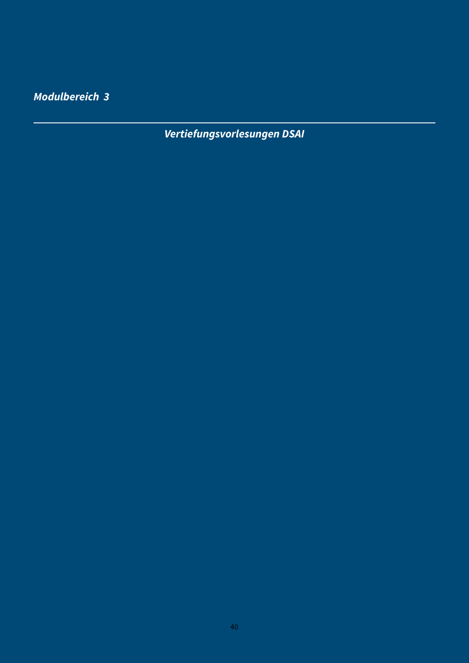<span id="page-40-0"></span>**Modulbereich 3**

**Vertiefungsvorlesungen DSAI**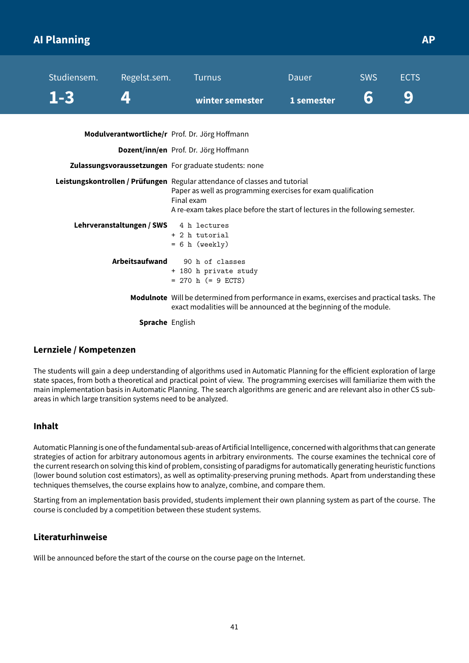# <span id="page-41-0"></span>**AI Planning AP APP APPLICATES AT A REPORT OF A SET AND APPLICATES APPLICATION**

| Studiensem. | Regelst.sem.                           | Turnus                                                                                                                                                                                                                                     | Dauer      | <b>SWS</b> | <b>ECTS</b> |
|-------------|----------------------------------------|--------------------------------------------------------------------------------------------------------------------------------------------------------------------------------------------------------------------------------------------|------------|------------|-------------|
| $1 - 3$     |                                        | winter semester                                                                                                                                                                                                                            | 1 semester | 6          | 9           |
|             |                                        | Modulverantwortliche/r Prof. Dr. Jörg Hoffmann                                                                                                                                                                                             |            |            |             |
|             |                                        | Dozent/inn/en Prof. Dr. Jörg Hoffmann                                                                                                                                                                                                      |            |            |             |
|             |                                        | Zulassungsvoraussetzungen For graduate students: none                                                                                                                                                                                      |            |            |             |
|             |                                        | Leistungskontrollen / Prüfungen Regular attendance of classes and tutorial<br>Paper as well as programming exercises for exam qualification<br>Final exam<br>A re-exam takes place before the start of lectures in the following semester. |            |            |             |
|             | Lehrveranstaltungen / SWS 4 h lectures | + 2 h tutorial<br>$= 6 h$ (weekly)                                                                                                                                                                                                         |            |            |             |
|             | Arbeitsaufwand                         | 90 h of classes<br>+ 180 h private study<br>$= 270$ h (= 9 ECTS)                                                                                                                                                                           |            |            |             |
|             |                                        | Modulnote Will be determined from performance in exams, exercises and practical tasks. The<br>exact modalities will be announced at the beginning of the module.                                                                           |            |            |             |

**Sprache** English

### **Lernziele / Kompetenzen**

The students will gain a deep understanding of algorithms used in Automatic Planning for the efficient exploration of large state spaces, from both a theoretical and practical point of view. The programming exercises will familiarize them with the main implementation basis in Automatic Planning. The search algorithms are generic and are relevant also in other CS subareas in which large transition systems need to be analyzed.

### **Inhalt**

Automatic Planning is one of thefundamental sub-areas of Artificial Intelligence, concerned with algorithms that can generate strategies of action for arbitrary autonomous agents in arbitrary environments. The course examines the technical core of the current research on solving this kind of problem, consisting of paradigms for automatically generating heuristic functions (lower bound solution cost estimators), as well as optimality-preserving pruning methods. Apart from understanding these techniques themselves, the course explains how to analyze, combine, and compare them.

Starting from an implementation basis provided, students implement their own planning system as part of the course. The course is concluded by a competition between these student systems.

### **Literaturhinweise**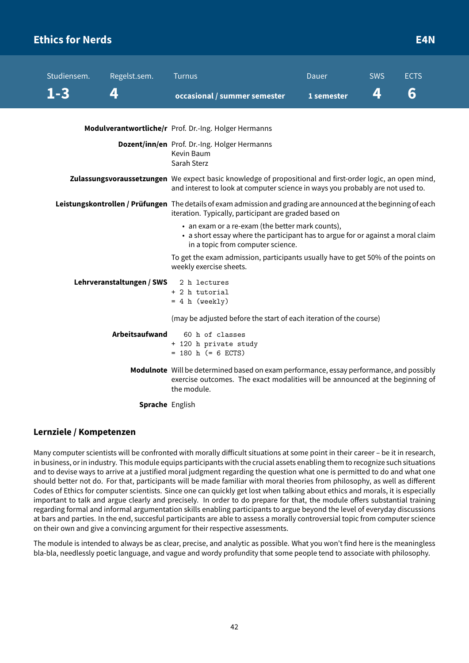# <span id="page-42-0"></span>**Ethics for Nerds E4N**

| Studiensem. | Regelst.sem.              | <b>Turnus</b>                                                                                                                                                                               | Dauer      | <b>SWS</b> | <b>ECTS</b> |  |
|-------------|---------------------------|---------------------------------------------------------------------------------------------------------------------------------------------------------------------------------------------|------------|------------|-------------|--|
| $1 - 3$     | 4                         | occasional / summer semester                                                                                                                                                                | 1 semester | 4          | 6           |  |
|             |                           |                                                                                                                                                                                             |            |            |             |  |
|             |                           | Modulverantwortliche/r Prof. Dr.-Ing. Holger Hermanns                                                                                                                                       |            |            |             |  |
|             |                           | Dozent/inn/en Prof. Dr.-Ing. Holger Hermanns<br>Kevin Baum<br>Sarah Sterz                                                                                                                   |            |            |             |  |
|             |                           | Zulassungsvoraussetzungen We expect basic knowledge of propositional and first-order logic, an open mind,<br>and interest to look at computer science in ways you probably are not used to. |            |            |             |  |
|             |                           | Leistungskontrollen / Prüfungen The details of exam admission and grading are announced at the beginning of each<br>iteration. Typically, participant are graded based on                   |            |            |             |  |
|             |                           | • an exam or a re-exam (the better mark counts),<br>• a short essay where the participant has to argue for or against a moral claim<br>in a topic from computer science.                    |            |            |             |  |
|             |                           | To get the exam admission, participants usually have to get 50% of the points on<br>weekly exercise sheets.                                                                                 |            |            |             |  |
|             | Lehrveranstaltungen / SWS | 2 h lectures                                                                                                                                                                                |            |            |             |  |
|             |                           | + 2 h tutorial<br>$= 4 h (weakly)$                                                                                                                                                          |            |            |             |  |
|             |                           | (may be adjusted before the start of each iteration of the course)                                                                                                                          |            |            |             |  |
|             | <b>Arbeitsaufwand</b>     | 60 h of classes<br>+ 120 h private study                                                                                                                                                    |            |            |             |  |
|             |                           | $= 180$ h (= 6 ECTS)                                                                                                                                                                        |            |            |             |  |
|             |                           | Modulnote Will be determined based on exam performance, essay performance, and possibly<br>exercise outcomes. The exact modalities will be announced at the beginning of<br>the module.     |            |            |             |  |
|             | <b>Sprache English</b>    |                                                                                                                                                                                             |            |            |             |  |

### **Lernziele / Kompetenzen**

Many computer scientists will be confronted with morally difficult situations at some point in their career – be it in research, in business, or in industry. This module equips participants with the crucial assets enabling them to recognize such situations and to devise ways to arrive at a justified moral judgment regarding the question what one is permitted to do and what one should better not do. For that, participants will be made familiar with moral theories from philosophy, as well as different Codes of Ethics for computer scientists. Since one can quickly get lost when talking about ethics and morals, it is especially important to talk and argue clearly and precisely. In order to do prepare for that, the module offers substantial training regarding formal and informal argumentation skills enabling participants to argue beyond the level of everyday discussions at bars and parties. In the end, succesful participants are able to assess a morally controversial topic from computer science on their own and give a convincing argument for their respective assessments.

The module is intended to always be as clear, precise, and analytic as possible. What you won't find here is the meaningless bla-bla, needlessly poetic language, and vague and wordy profundity that some people tend to associate with philosophy.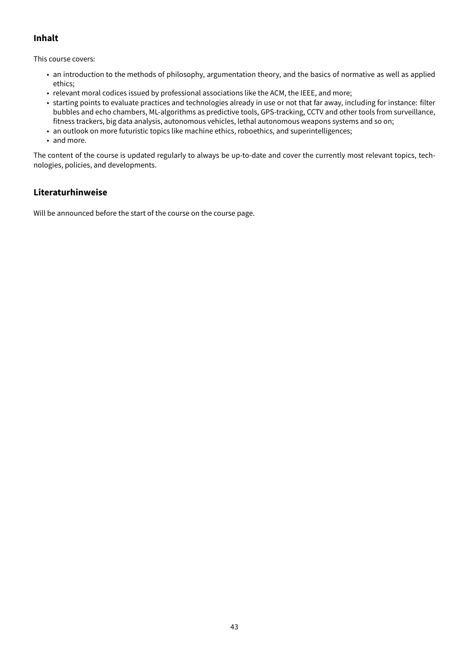### **Inhalt**

This course covers:

- an introduction to the methods of philosophy, argumentation theory, and the basics of normative as well as applied ethics;
- relevant moral codices issued by professional associations like the ACM, the IEEE, and more;
- starting points to evaluate practices and technologies already in use or not that far away, including for instance: filter bubbles and echo chambers, ML-algorithms as predictive tools, GPS-tracking, CCTV and other tools from surveillance, fitness trackers, big data analysis, autonomous vehicles, lethal autonomous weapons systems and so on;
- an outlook on more futuristic topics like machine ethics, roboethics, and superintelligences;
- and more.

The content of the course is updated regularly to always be up-to-date and cover the currently most relevant topics, technologies, policies, and developments.

### **Literaturhinweise**

Will be announced before the start of the course on the course page.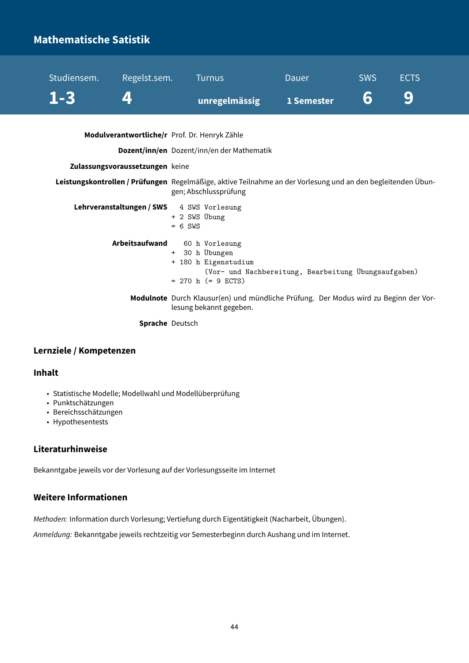# <span id="page-44-0"></span>**Mathematische Satistik**

|                                                                                  | unregelmässig                                                                                                                                                                       | 1 Semester                                           |  |
|----------------------------------------------------------------------------------|-------------------------------------------------------------------------------------------------------------------------------------------------------------------------------------|------------------------------------------------------|--|
| Modulverantwortliche/r Prof. Dr. Henryk Zähle<br>Zulassungsvoraussetzungen keine | Dozent/inn/en Dozent/inn/en der Mathematik<br>Leistungskontrollen / Prüfungen Regelmäßige, aktive Teilnahme an der Vorlesung und an den begleitenden Übun-<br>gen; Abschlussprüfung |                                                      |  |
| Lehrveranstaltungen / SWS 4 SWS Vorlesung                                        | + 2 SWS Übung<br>$= 6$ SWS                                                                                                                                                          |                                                      |  |
| Arbeitsaufwand                                                                   | 60 h Vorlesung<br>+ 30 h Übungen<br>+ 180 h Eigenstudium<br>$= 270$ h (= 9 ECTS)                                                                                                    | (Vor- und Nachbereitung, Bearbeitung Übungsaufgaben) |  |
|                                                                                  | Modulnote Durch Klausur(en) und mündliche Prüfung. Der Modus wird zu Beginn der Vor-<br>lesung bekannt gegeben.                                                                     |                                                      |  |
| <b>Sprache</b> Deutsch                                                           |                                                                                                                                                                                     |                                                      |  |

Studiensem. Regelst.sem. Turnus Dauer SWS ECTS

### **Lernziele / Kompetenzen**

### **Inhalt**

- Statistische Modelle; Modellwahl und Modellüberprüfung
- Punktschätzungen
- Bereichsschätzungen
- Hypothesentests

### **Literaturhinweise**

Bekanntgabe jeweils vor der Vorlesung auf der Vorlesungsseite im Internet

### **Weitere Informationen**

Methoden: Information durch Vorlesung; Vertiefung durch Eigentätigkeit (Nacharbeit, Übungen).

Anmeldung: Bekanntgabe jeweils rechtzeitig vor Semesterbeginn durch Aushang und im Internet.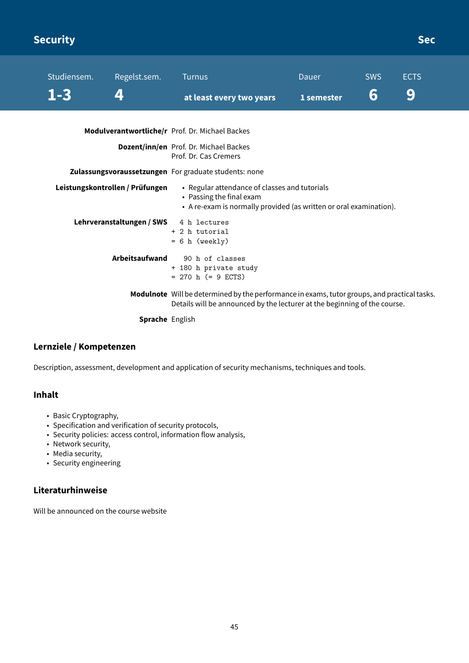# <span id="page-45-0"></span>**Security Security Security** Security Security Security Security Security Security Security Security Security Sec

| Studiensem. | Regelst.sem.                    | <b>Turnus</b>                                                                                                                                   | Dauer      | <b>SWS</b> | <b>ECTS</b> |  |
|-------------|---------------------------------|-------------------------------------------------------------------------------------------------------------------------------------------------|------------|------------|-------------|--|
| 1-3         | $\mathbf{Z}$                    | at least every two years                                                                                                                        | 1 semester | 6          | 9           |  |
|             |                                 | Modulverantwortliche/r Prof. Dr. Michael Backes                                                                                                 |            |            |             |  |
|             |                                 | Dozent/inn/en Prof. Dr. Michael Backes<br>Prof. Dr. Cas Cremers                                                                                 |            |            |             |  |
|             |                                 | Zulassungsvoraussetzungen For graduate students: none                                                                                           |            |            |             |  |
|             | Leistungskontrollen / Prüfungen | • Regular attendance of classes and tutorials<br>• Passing the final exam<br>• A re-exam is normally provided (as written or oral examination). |            |            |             |  |
|             | Lehrveranstaltungen / SWS       | 4 h lectures<br>+ 2 h tutorial<br>$= 6 h$ (weekly)                                                                                              |            |            |             |  |
|             | <b>Arbeitsaufwand</b>           | 90 h of classes<br>+ 180 h private study<br>$= 270$ h ( $= 9$ ECTS)                                                                             |            |            |             |  |
|             |                                 | Modulnote Will be determined by the performance in exams, tutor groups, and practical tasks.                                                    |            |            |             |  |

Details will be announced by the lecturer at the beginning of the course.

**Sprache** English

### **Lernziele / Kompetenzen**

Description, assessment, development and application of security mechanisms, techniques and tools.

### **Inhalt**

- Basic Cryptography,
- Specification and verification of security protocols,
- Security policies: access control, information flow analysis,
- Network security,
- Media security,
- Security engineering

### **Literaturhinweise**

Will be announced on the course website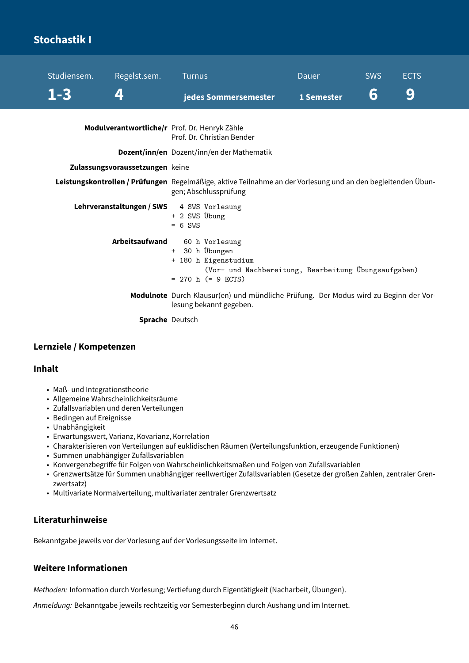# <span id="page-46-0"></span>**Stochastik I**

| Studiensem. | Regelst.sem.                    | <b>Turnus</b>                                                                                                                            | <b>Dauer</b> | <b>SWS</b> | <b>ECTS</b> |
|-------------|---------------------------------|------------------------------------------------------------------------------------------------------------------------------------------|--------------|------------|-------------|
| $1 - 3$     | 4                               | jedes Sommersemester                                                                                                                     | 1 Semester   | 6          | 9           |
|             |                                 | Modulverantwortliche/r Prof. Dr. Henryk Zähle<br>Prof. Dr. Christian Bender                                                              |              |            |             |
|             |                                 | Dozent/inn/en Dozent/inn/en der Mathematik                                                                                               |              |            |             |
|             | Zulassungsvoraussetzungen keine |                                                                                                                                          |              |            |             |
|             |                                 | Leistungskontrollen / Prüfungen Regelmäßige, aktive Teilnahme an der Vorlesung und an den begleitenden Übun-<br>gen; Abschlussprüfung    |              |            |             |
|             |                                 | Lehrveranstaltungen / SWS 4 SWS Vorlesung<br>+ 2 SWS Übung<br>$= 6$ SWS                                                                  |              |            |             |
|             | Arbeitsaufwand                  | 60 h Vorlesung<br>+ 30 h Übungen<br>+ 180 h Eigenstudium<br>(Vor- und Nachbereitung, Bearbeitung Übungsaufgaben)<br>$= 270$ h (= 9 ECTS) |              |            |             |
|             |                                 | Modulnote Durch Klausur(en) und mündliche Prüfung. Der Modus wird zu Beginn der Vor-<br>lesung bekannt gegeben.                          |              |            |             |
|             | <b>Sprache</b> Deutsch          |                                                                                                                                          |              |            |             |

### **Lernziele / Kompetenzen**

### **Inhalt**

- Maß- und Integrationstheorie
- Allgemeine Wahrscheinlichkeitsräume
- Zufallsvariablen und deren Verteilungen
- Bedingen auf Ereignisse
- Unabhängigkeit
- Erwartungswert, Varianz, Kovarianz, Korrelation
- Charakterisieren von Verteilungen auf euklidischen Räumen (Verteilungsfunktion, erzeugende Funktionen)
- Summen unabhängiger Zufallsvariablen
- Konvergenzbegriffe für Folgen von Wahrscheinlichkeitsmaßen und Folgen von Zufallsvariablen
- Grenzwertsätze für Summen unabhängiger reellwertiger Zufallsvariablen (Gesetze der großen Zahlen, zentraler Grenzwertsatz)
- Multivariate Normalverteilung, multivariater zentraler Grenzwertsatz

### **Literaturhinweise**

Bekanntgabe jeweils vor der Vorlesung auf der Vorlesungsseite im Internet.

### **Weitere Informationen**

Methoden: Information durch Vorlesung; Vertiefung durch Eigentätigkeit (Nacharbeit, Übungen).

Anmeldung: Bekanntgabe jeweils rechtzeitig vor Semesterbeginn durch Aushang und im Internet.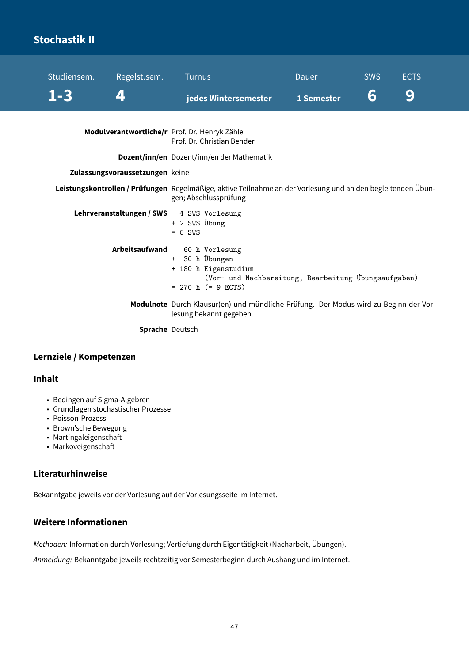# <span id="page-47-0"></span>**Stochastik II**

| Studiensem. | Regelst.sem.                    | <b>Turnus</b>                                                                                                                               | Dauer      | <b>SWS</b> | <b>ECTS</b> |
|-------------|---------------------------------|---------------------------------------------------------------------------------------------------------------------------------------------|------------|------------|-------------|
| $1 - 3$     | 4                               | jedes Wintersemester                                                                                                                        | 1 Semester | 6          | 9           |
|             |                                 | Modulverantwortliche/r Prof. Dr. Henryk Zähle<br>Prof. Dr. Christian Bender                                                                 |            |            |             |
|             |                                 | Dozent/inn/en Dozent/inn/en der Mathematik                                                                                                  |            |            |             |
|             | Zulassungsvoraussetzungen keine |                                                                                                                                             |            |            |             |
|             |                                 | Leistungskontrollen / Prüfungen Regelmäßige, aktive Teilnahme an der Vorlesung und an den begleitenden Übun-<br>gen; Abschlussprüfung       |            |            |             |
|             |                                 | Lehrveranstaltungen / SWS 4 SWS Vorlesung<br>+ 2 SWS Übung<br>$= 6$ SWS                                                                     |            |            |             |
|             | Arbeitsaufwand                  | 60 h Vorlesung<br>+ 30 h Übungen<br>+ 180 h Eigenstudium<br>(Vor- und Nachbereitung, Bearbeitung Übungsaufgaben)<br>$= 270$ h ( $= 9$ ECTS) |            |            |             |
|             |                                 | Modulnote Durch Klausur(en) und mündliche Prüfung. Der Modus wird zu Beginn der Vor-<br>lesung bekannt gegeben.                             |            |            |             |
|             | Sprache Deutsch                 |                                                                                                                                             |            |            |             |

### **Lernziele / Kompetenzen**

### **Inhalt**

- Bedingen auf Sigma-Algebren
- Grundlagen stochastischer Prozesse
- Poisson-Prozess
- Brown'sche Bewegung
- Martingaleigenschaft
- Markoveigenschaft

### **Literaturhinweise**

Bekanntgabe jeweils vor der Vorlesung auf der Vorlesungsseite im Internet.

### **Weitere Informationen**

Methoden: Information durch Vorlesung; Vertiefung durch Eigentätigkeit (Nacharbeit, Übungen).

Anmeldung: Bekanntgabe jeweils rechtzeitig vor Semesterbeginn durch Aushang und im Internet.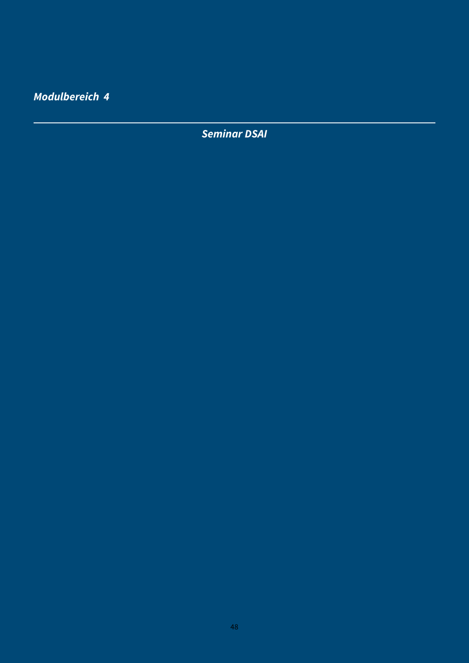<span id="page-48-0"></span>**Modulbereich 4**

**Seminar DSAI**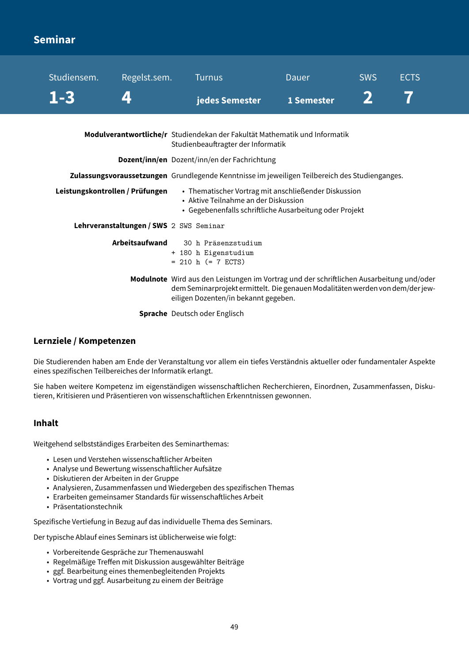# <span id="page-49-0"></span>**Seminar**

| Studiensem.                     | Regelst.sem.                            | <b>Turnus</b>                                                         | Dauer                                                                                                                                                                     | <b>SWS</b> | <b>ECTS</b> |
|---------------------------------|-----------------------------------------|-----------------------------------------------------------------------|---------------------------------------------------------------------------------------------------------------------------------------------------------------------------|------------|-------------|
| $1 - 3$                         |                                         | jedes Semester                                                        | 1 Semester                                                                                                                                                                |            |             |
|                                 |                                         | Studienbeauftragter der Informatik                                    | Modulverantwortliche/r Studiendekan der Fakultät Mathematik und Informatik                                                                                                |            |             |
|                                 |                                         | Dozent/inn/en Dozent/inn/en der Fachrichtung                          |                                                                                                                                                                           |            |             |
|                                 |                                         |                                                                       | Zulassungsvoraussetzungen Grundlegende Kenntnisse im jeweiligen Teilbereich des Studienganges.                                                                            |            |             |
| Leistungskontrollen / Prüfungen |                                         | • Aktive Teilnahme an der Diskussion                                  | • Thematischer Vortrag mit anschließender Diskussion<br>• Gegebenenfalls schriftliche Ausarbeitung oder Projekt                                                           |            |             |
|                                 | Lehrveranstaltungen / SWS 2 SWS Seminar |                                                                       |                                                                                                                                                                           |            |             |
|                                 | Arbeitsaufwand                          | 30 h Präsenzstudium<br>+ 180 h Eigenstudium<br>$= 210$ h $(= 7$ ECTS) |                                                                                                                                                                           |            |             |
|                                 |                                         | eiligen Dozenten/in bekannt gegeben.                                  | Modulnote Wird aus den Leistungen im Vortrag und der schriftlichen Ausarbeitung und/oder<br>dem Seminarprojekt ermittelt. Die genauen Modalitäten werden von dem/der jew- |            |             |
|                                 |                                         | <b>Sprache</b> Deutsch oder Englisch                                  |                                                                                                                                                                           |            |             |

### **Lernziele / Kompetenzen**

Die Studierenden haben am Ende der Veranstaltung vor allem ein tiefes Verständnis aktueller oder fundamentaler Aspekte eines spezifischen Teilbereiches der Informatik erlangt.

Sie haben weitere Kompetenz im eigenständigen wissenschaftlichen Recherchieren, Einordnen, Zusammenfassen, Diskutieren, Kritisieren und Präsentieren von wissenschaftlichen Erkenntnissen gewonnen.

### **Inhalt**

Weitgehend selbstständiges Erarbeiten des Seminarthemas:

- Lesen und Verstehen wissenschaftlicher Arbeiten
- Analyse und Bewertung wissenschaftlicher Aufsätze
- Diskutieren der Arbeiten in der Gruppe
- Analysieren, Zusammenfassen und Wiedergeben des spezifischen Themas
- Erarbeiten gemeinsamer Standards für wissenschaftliches Arbeit
- Präsentationstechnik

Spezifische Vertiefung in Bezug auf das individuelle Thema des Seminars.

Der typische Ablauf eines Seminars ist üblicherweise wie folgt:

- Vorbereitende Gespräche zur Themenauswahl
- Regelmäßige Treffen mit Diskussion ausgewählter Beiträge
- ggf. Bearbeitung eines themenbegleitenden Projekts
- Vortrag und ggf. Ausarbeitung zu einem der Beiträge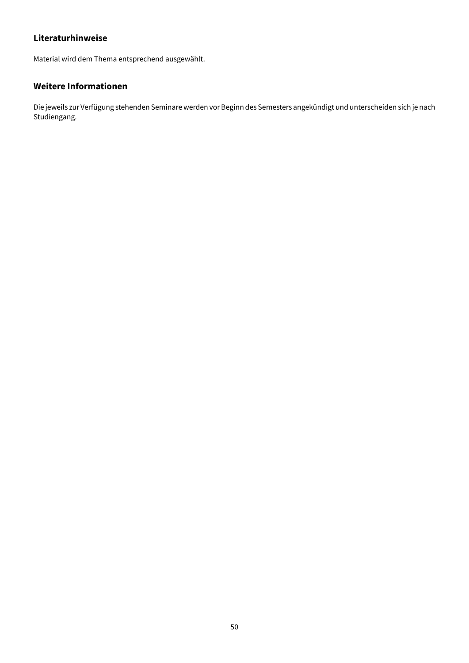### **Literaturhinweise**

Material wird dem Thema entsprechend ausgewählt.

### **Weitere Informationen**

Die jeweils zur Verfügung stehenden Seminare werden vor Beginn des Semesters angekündigt und unterscheiden sich je nach Studiengang.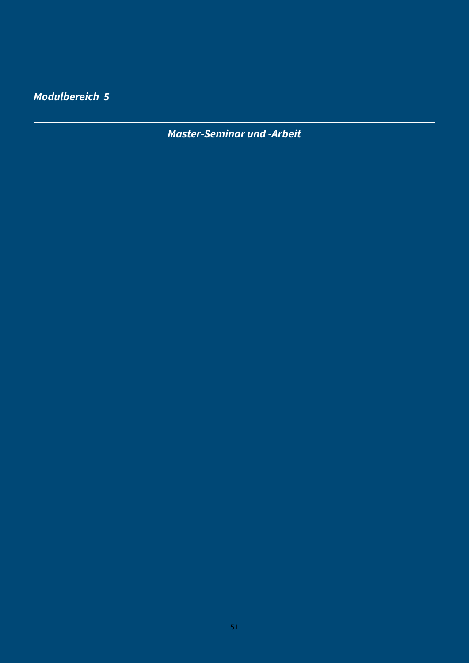<span id="page-51-0"></span>**Modulbereich 5**

**Master-Seminar und -Arbeit**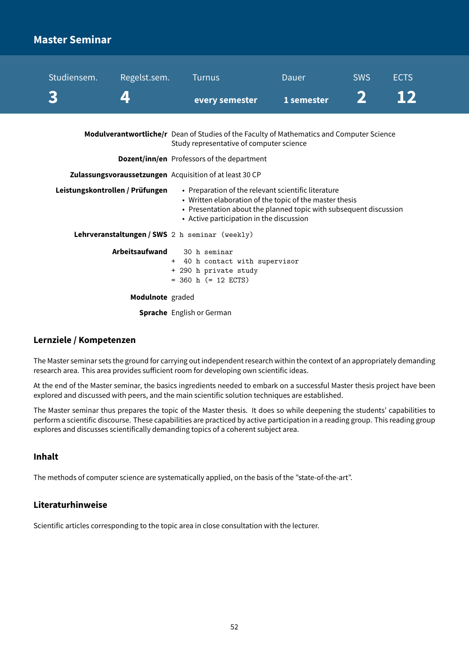## <span id="page-52-0"></span>**Master Seminar**

| Studiensem.                     | Regelst.sem.       | <b>Turnus</b>                                                                                                                                                                                                                   | Dauer      | <b>SWS</b> | <b>ECTS</b> |  |
|---------------------------------|--------------------|---------------------------------------------------------------------------------------------------------------------------------------------------------------------------------------------------------------------------------|------------|------------|-------------|--|
|                                 | $\boldsymbol{\mu}$ | every semester                                                                                                                                                                                                                  | 1 semester |            |             |  |
|                                 |                    | Modulverantwortliche/r Dean of Studies of the Faculty of Mathematics and Computer Science<br>Study representative of computer science                                                                                           |            |            |             |  |
|                                 |                    | <b>Dozent/inn/en</b> Professors of the department                                                                                                                                                                               |            |            |             |  |
|                                 |                    | Zulassungsvoraussetzungen Acquisition of at least 30 CP                                                                                                                                                                         |            |            |             |  |
| Leistungskontrollen / Prüfungen |                    | • Preparation of the relevant scientific literature<br>• Written elaboration of the topic of the master thesis<br>• Presentation about the planned topic with subsequent discussion<br>• Active participation in the discussion |            |            |             |  |
|                                 |                    | Lehrveranstaltungen / SWS 2 h seminar (weekly)                                                                                                                                                                                  |            |            |             |  |
|                                 | Arbeitsaufwand     | 30 h seminar<br>+ 40 h contact with supervisor<br>+ 290 h private study<br>$=$ 360 h ( $=$ 12 ECTS)                                                                                                                             |            |            |             |  |
|                                 | Modulnote graded   |                                                                                                                                                                                                                                 |            |            |             |  |

**Sprache** English or German

### **Lernziele / Kompetenzen**

The Master seminar sets the ground for carrying out independent research within the context of an appropriately demanding research area. This area provides sufficient room for developing own scientific ideas.

At the end of the Master seminar, the basics ingredients needed to embark on a successful Master thesis project have been explored and discussed with peers, and the main scientific solution techniques are established.

The Master seminar thus prepares the topic of the Master thesis. It does so while deepening the students' capabilities to perform a scientific discourse. These capabilities are practiced by active participation in a reading group. This reading group explores and discusses scientifically demanding topics of a coherent subject area.

### **Inhalt**

The methods of computer science are systematically applied, on the basis of the "state-of-the-art".

### **Literaturhinweise**

Scientific articles corresponding to the topic area in close consultation with the lecturer.